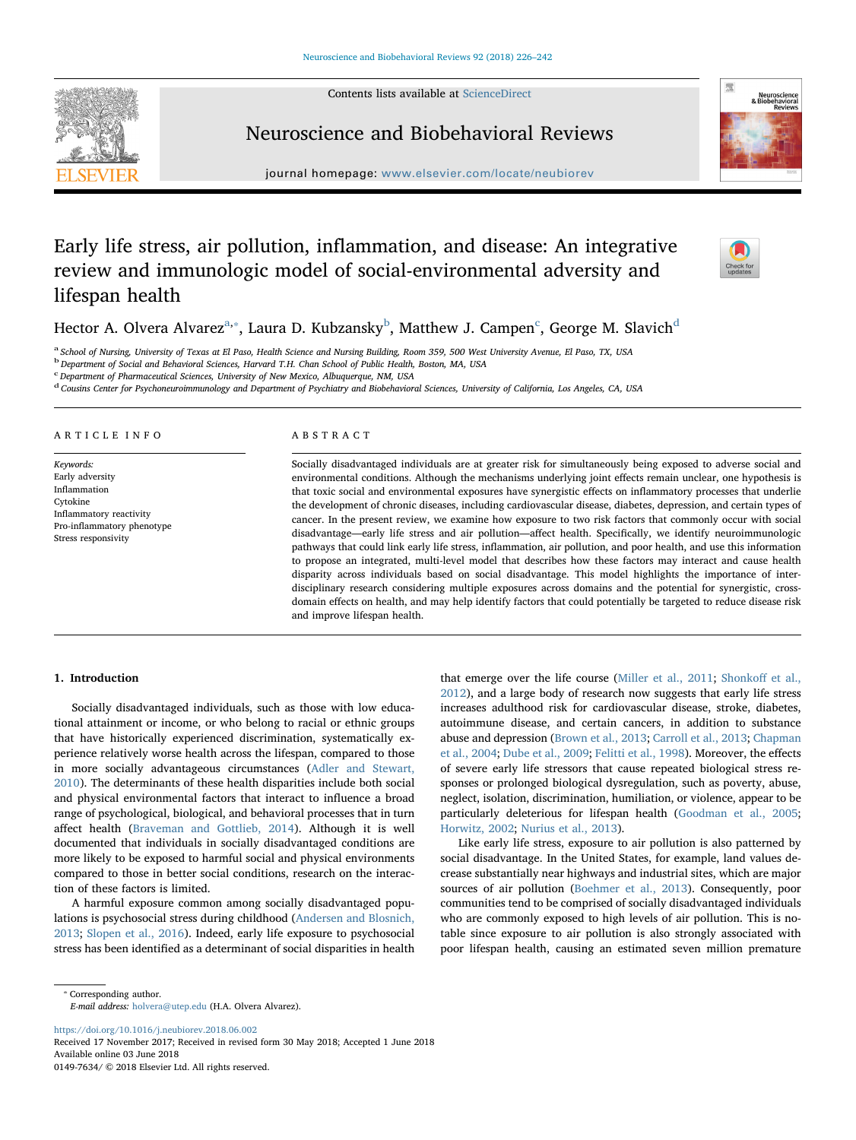Contents lists available at [ScienceDirect](http://www.sciencedirect.com/science/journal/01497634)





# Neuroscience and Biobehavioral Reviews

journal homepage: [www.elsevier.com/locate/neubiorev](https://www.elsevier.com/locate/neubiorev)

# Early life stress, air pollution, inflammation, and disease: An integrative review and immunologic model of social-environmental adversity and lifespan health



Hector A. Olver[a](#page-0-0) Alvarez $^{\rm a, *},$  Laura D. Ku[b](#page-0-2)zansky $^{\rm b}$ , Matthew J. Campen $^{\rm c}$  $^{\rm c}$  $^{\rm c}$ , George M. Slavich $^{\rm d}$  $^{\rm d}$  $^{\rm d}$ 

<span id="page-0-0"></span><sup>a</sup> School of Nursing, University of Texas at El Paso, Health Science and Nursing Building, Room 359, 500 West University Avenue, El Paso, TX, USA

<span id="page-0-2"></span>b<br>b Department of Social and Behavioral Sciences, Harvard T.H. Chan School of Public Health, Boston, MA, USA

<span id="page-0-3"></span>c<br><sup>c</sup> Department of Pharmaceutical Sciences, University of New Mexico, Albuquerque, NM, USA

<span id="page-0-4"></span><sup>d</sup> Cousins Center for Psychoneuroimmunology and Department of Psychiatry and Biobehavioral Sciences, University of California, Los Angeles, CA, USA

#### ARTICLE INFO

Keywords: Early adversity Inflammation Cytokine Inflammatory reactivity Pro-inflammatory phenotype Stress responsivity

## ABSTRACT

Socially disadvantaged individuals are at greater risk for simultaneously being exposed to adverse social and environmental conditions. Although the mechanisms underlying joint effects remain unclear, one hypothesis is that toxic social and environmental exposures have synergistic effects on inflammatory processes that underlie the development of chronic diseases, including cardiovascular disease, diabetes, depression, and certain types of cancer. In the present review, we examine how exposure to two risk factors that commonly occur with social disadvantage—early life stress and air pollution—affect health. Specifically, we identify neuroimmunologic pathways that could link early life stress, inflammation, air pollution, and poor health, and use this information to propose an integrated, multi-level model that describes how these factors may interact and cause health disparity across individuals based on social disadvantage. This model highlights the importance of interdisciplinary research considering multiple exposures across domains and the potential for synergistic, crossdomain effects on health, and may help identify factors that could potentially be targeted to reduce disease risk and improve lifespan health.

### 1. Introduction

Socially disadvantaged individuals, such as those with low educational attainment or income, or who belong to racial or ethnic groups that have historically experienced discrimination, systematically experience relatively worse health across the lifespan, compared to those in more socially advantageous circumstances ([Adler and Stewart,](#page-11-0) [2010\)](#page-11-0). The determinants of these health disparities include both social and physical environmental factors that interact to influence a broad range of psychological, biological, and behavioral processes that in turn affect health ([Braveman and Gottlieb, 2014\)](#page-12-0). Although it is well documented that individuals in socially disadvantaged conditions are more likely to be exposed to harmful social and physical environments compared to those in better social conditions, research on the interaction of these factors is limited.

A harmful exposure common among socially disadvantaged populations is psychosocial stress during childhood ([Andersen and Blosnich,](#page-11-1) [2013;](#page-11-1) [Slopen et al., 2016](#page-15-0)). Indeed, early life exposure to psychosocial stress has been identified as a determinant of social disparities in health that emerge over the life course [\(Miller et al., 2011;](#page-14-0) [Shonko](#page-15-1)ff et al., [2012\)](#page-15-1), and a large body of research now suggests that early life stress increases adulthood risk for cardiovascular disease, stroke, diabetes, autoimmune disease, and certain cancers, in addition to substance abuse and depression [\(Brown et al., 2013](#page-12-1); [Carroll et al., 2013](#page-12-2); [Chapman](#page-12-3) [et al., 2004](#page-12-3); [Dube et al., 2009](#page-12-4); [Felitti et al., 1998\)](#page-13-0). Moreover, the effects of severe early life stressors that cause repeated biological stress responses or prolonged biological dysregulation, such as poverty, abuse, neglect, isolation, discrimination, humiliation, or violence, appear to be particularly deleterious for lifespan health [\(Goodman et al., 2005](#page-13-1); [Horwitz, 2002;](#page-13-2) [Nurius et al., 2013\)](#page-14-1).

Like early life stress, exposure to air pollution is also patterned by social disadvantage. In the United States, for example, land values decrease substantially near highways and industrial sites, which are major sources of air pollution ([Boehmer et al., 2013\)](#page-12-5). Consequently, poor communities tend to be comprised of socially disadvantaged individuals who are commonly exposed to high levels of air pollution. This is notable since exposure to air pollution is also strongly associated with poor lifespan health, causing an estimated seven million premature

<span id="page-0-1"></span>⁎ Corresponding author. E-mail address: [holvera@utep.edu](mailto:holvera@utep.edu) (H.A. Olvera Alvarez).

<https://doi.org/10.1016/j.neubiorev.2018.06.002>

Received 17 November 2017; Received in revised form 30 May 2018; Accepted 1 June 2018 Available online 03 June 2018

0149-7634/ © 2018 Elsevier Ltd. All rights reserved.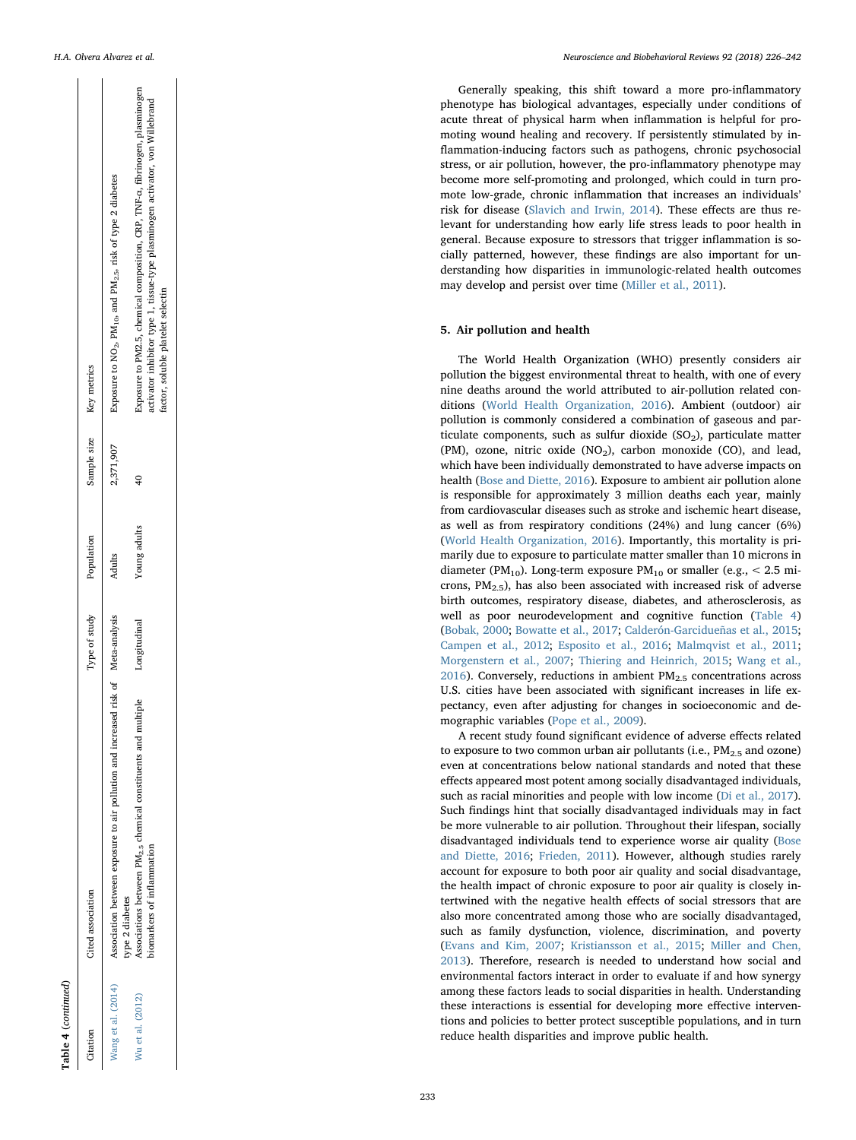$\mathbf{r}$ 

 $\begin{array}{ccc} \end{array}$ 

| Citation           | Cited association                                                                                   | Type of study         | Population   |           | Sample size Key metrics                                                                                                                                      |
|--------------------|-----------------------------------------------------------------------------------------------------|-----------------------|--------------|-----------|--------------------------------------------------------------------------------------------------------------------------------------------------------------|
| Vang et al. (2014) | Association between exposure to air pollution and increased risk of Meta-analysis<br>ype 2 diabetes |                       | Adults       | 2,371,907 | Exposure to NO <sub>2</sub> , PM <sub>10</sub> , and PM <sub>2.5</sub> , risk of type 2 diabetes                                                             |
| Vu et al. (2012)   | ssociations between PM <sub>2.5</sub> chemical constituents and<br>iomarkers of inflammation        | multiple Longitudinal | Young adults |           | Exposure to PM2.5, chemical composition, CRP, TNF-a, fibrinogen, plasminogen<br>ctivator inhibitor type 1, tissue-type plasminogen activator, von Willebrand |
|                    |                                                                                                     |                       |              |           | factor, soluble platelet selectin                                                                                                                            |

Table 4 (continued)

Table 4 (continued)

Generally speaking, this shift toward a more pro-in flammatory phenotype has biological advantages, especially under conditions of acute threat of physical harm when in flammation is helpful for promoting wound healing and recovery. If persistently stimulated by in flammation-inducing factors such as pathogens, chronic psychosocial stress, or air pollution, however, the pro-in flammatory phenotype may become more self-promoting and prolonged, which could in turn promote low-grade, chronic inflammation that increases an individuals' risk for disease [\(Slavich and Irwin, 2014](#page-15-2)). These e ffects are thus relevant for understanding how early life stress leads to poor health in general. Because exposure to stressors that trigger in flammation is socially patterned, however, these findings are also important for understanding how disparities in immunologic-related health outcomes may develop and persist over time ([Miller et al., 2011](#page-14-0)).

#### 5. Air pollution and health

The World Health Organization (WHO) presently considers air pollution the biggest environmental threat to health, with one of every nine deaths around the world attributed to air-pollution related conditions ([World Health Organization, 2016](#page-16-0)). Ambient (outdoor) air pollution is commonly considered a combination of gaseous and particulate components, such as sulfur dioxide  $(SO<sub>2</sub>)$ , particulate matter (PM), ozone, nitric oxide  $(NO<sub>2</sub>)$ , carbon monoxide  $(CO)$ , and lead, which have been individually demonstrated to have adverse impacts on health ([Bose and Diette, 2016\)](#page-12-6). Exposure to ambient air pollution alone is responsible for approximately 3 million deaths each year, mainly from cardiovascular diseases such as stroke and ischemic heart disease, as well as from respiratory conditions (24%) and lung cancer (6%) ([World Health Organization, 2016\)](#page-16-0). Importantly, this mortality is primarily due to exposure to particulate matter smaller than 10 microns in diameter (PM<sub>10</sub>). Long-term exposure PM<sub>10</sub> or smaller (e.g.,  $\lt$  2.5 microns,  $PM_{2.5}$ ), has also been associated with increased risk of adverse birth outcomes, respiratory disease, diabetes, and atherosclerosis, as well as poor neurodevelopment and cognitive function [\(Table 4](#page-6-0)) ([Bobak, 2000](#page-12-7) ; [Bowatte et al., 2017](#page-12-8) ; [Calderón-Garcidueñas et al., 2015](#page-12-9) ; [Campen et al., 2012](#page-12-10) ; [Esposito et al., 2016](#page-12-11) ; [Malmqvist et al., 2011](#page-14-2) ; [Morgenstern et al., 2007](#page-14-3) ; [Thiering and Heinrich, 2015](#page-15-3) ; [Wang et al.,](#page-15-4)  $2016$ ). Conversely, reductions in ambient PM<sub>2.5</sub> concentrations across U.S. cities have been associated with signi ficant increases in life expectancy, even after adjusting for changes in socioeconomic and demographic variables [\(Pope et al., 2009\)](#page-15-5).

A recent study found signi ficant evidence of adverse e ffects related to exposure to two common urban air pollutants (i.e.,  $PM_{2.5}$  and ozone) even at concentrations below national standards and noted that these effects appeared most potent among socially disadvantaged individuals, such as racial minorities and people with low income ([Di et al., 2017](#page-12-12)). Such findings hint that socially disadvantaged individuals may in fact be more vulnerable to air pollution. Throughout their lifespan, socially disadvantaged individuals tend to experience worse air quality [\(Bose](#page-12-6) [and Diette, 2016](#page-12-6) ; [Frieden, 2011](#page-13-3)). However, although studies rarely account for exposure to both poor air quality and social disadvantage, the health impact of chronic exposure to poor air quality is closely intertwined with the negative health effects of social stressors that are also more concentrated among those who are socially disadvantaged, such as family dysfunction, violence, discrimination, and poverty ([Evans and Kim, 2007;](#page-12-13) [Kristiansson et al., 2015](#page-13-4); [Miller and Chen,](#page-14-4) [2013\)](#page-14-4). Therefore, research is needed to understand how social and environmental factors interact in order to evaluate if and how synergy among these factors leads to social disparities in health. Understanding these interactions is essential for developing more e ffective interventions and policies to better protect susceptible populations, and in turn reduce health disparities and improve public health.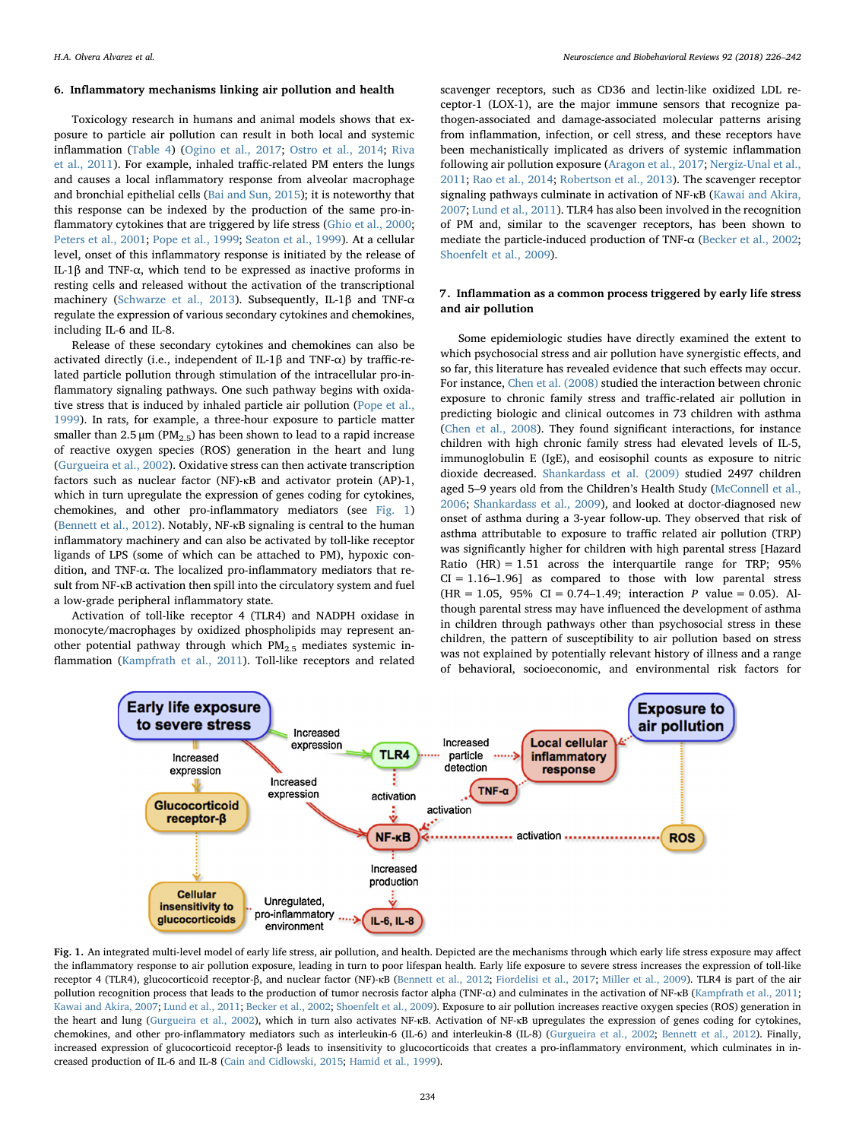#### 6. Inflammatory mechanisms linking air pollution and health

Toxicology research in humans and animal models shows that exposure to particle air pollution can result in both local and systemic inflammation ([Table 4](#page-6-0)) ([Ogino et al., 2017](#page-14-5); [Ostro et al., 2014](#page-14-6); [Riva](#page-15-7) [et al., 2011\)](#page-15-7). For example, inhaled traffic-related PM enters the lungs and causes a local inflammatory response from alveolar macrophage and bronchial epithelial cells ([Bai and Sun, 2015](#page-11-2)); it is noteworthy that this response can be indexed by the production of the same pro-inflammatory cytokines that are triggered by life stress ([Ghio et al., 2000](#page-13-5); [Peters et al., 2001;](#page-14-7) [Pope et al., 1999;](#page-15-8) [Seaton et al., 1999\)](#page-15-9). At a cellular level, onset of this inflammatory response is initiated by the release of IL-1β and TNF-α, which tend to be expressed as inactive proforms in resting cells and released without the activation of the transcriptional machinery [\(Schwarze et al., 2013\)](#page-15-10). Subsequently, IL-1β and TNF-α regulate the expression of various secondary cytokines and chemokines, including IL-6 and IL-8.

Release of these secondary cytokines and chemokines can also be activated directly (i.e., independent of IL-1β and TNF-α) by traffic-related particle pollution through stimulation of the intracellular pro-inflammatory signaling pathways. One such pathway begins with oxidative stress that is induced by inhaled particle air pollution ([Pope et al.,](#page-15-8) [1999\)](#page-15-8). In rats, for example, a three-hour exposure to particle matter smaller than  $2.5 \mu m$  (PM<sub>2.5</sub>) has been shown to lead to a rapid increase of reactive oxygen species (ROS) generation in the heart and lung ([Gurgueira et al., 2002](#page-13-6)). Oxidative stress can then activate transcription factors such as nuclear factor (NF)-κB and activator protein (AP)-1, which in turn upregulate the expression of genes coding for cytokines, chemokines, and other pro-inflammatory mediators (see [Fig. 1\)](#page-8-0) ([Bennett et al., 2012\)](#page-12-14). Notably, NF-κB signaling is central to the human inflammatory machinery and can also be activated by toll-like receptor ligands of LPS (some of which can be attached to PM), hypoxic condition, and TNF-α. The localized pro-inflammatory mediators that result from NF-κB activation then spill into the circulatory system and fuel a low-grade peripheral inflammatory state.

Activation of toll-like receptor 4 (TLR4) and NADPH oxidase in monocyte/macrophages by oxidized phospholipids may represent another potential pathway through which  $PM_{2.5}$  mediates systemic inflammation ([Kampfrath et al., 2011](#page-13-7)). Toll-like receptors and related

scavenger receptors, such as CD36 and lectin-like oxidized LDL receptor-1 (LOX-1), are the major immune sensors that recognize pathogen-associated and damage-associated molecular patterns arising from inflammation, infection, or cell stress, and these receptors have been mechanistically implicated as drivers of systemic inflammation following air pollution exposure [\(Aragon et al., 2017](#page-11-3); [Nergiz-Unal et al.,](#page-14-8) [2011;](#page-14-8) [Rao et al., 2014](#page-15-11); [Robertson et al., 2013](#page-15-12)). The scavenger receptor signaling pathways culminate in activation of NF-κB ([Kawai and Akira,](#page-13-8) [2007;](#page-13-8) [Lund et al., 2011](#page-14-9)). TLR4 has also been involved in the recognition of PM and, similar to the scavenger receptors, has been shown to mediate the particle-induced production of TNF-α [\(Becker et al., 2002](#page-12-15); [Shoenfelt et al., 2009](#page-15-13)).

#### 7. Inflammation as a common process triggered by early life stress and air pollution

Some epidemiologic studies have directly examined the extent to which psychosocial stress and air pollution have synergistic effects, and so far, this literature has revealed evidence that such effects may occur. For instance, [Chen et al. \(2008\)](#page-12-16) studied the interaction between chronic exposure to chronic family stress and traffic-related air pollution in predicting biologic and clinical outcomes in 73 children with asthma ([Chen et al., 2008\)](#page-12-16). They found significant interactions, for instance children with high chronic family stress had elevated levels of IL-5, immunoglobulin E (IgE), and eosisophil counts as exposure to nitric dioxide decreased. [Shankardass et al. \(2009\)](#page-15-14) studied 2497 children aged 5–9 years old from the Children's Health Study ([McConnell et al.,](#page-14-10) [2006;](#page-14-10) [Shankardass et al., 2009](#page-15-14)), and looked at doctor-diagnosed new onset of asthma during a 3-year follow-up. They observed that risk of asthma attributable to exposure to traffic related air pollution (TRP) was significantly higher for children with high parental stress [Hazard Ratio (HR) = 1.51 across the interquartile range for TRP; 95%  $CI = 1.16-1.96$ ] as compared to those with low parental stress  $(HR = 1.05, 95\% \text{ CI} = 0.74 - 1.49; \text{ interaction } P \text{ value} = 0.05).$  Although parental stress may have influenced the development of asthma in children through pathways other than psychosocial stress in these children, the pattern of susceptibility to air pollution based on stress was not explained by potentially relevant history of illness and a range of behavioral, socioeconomic, and environmental risk factors for

<span id="page-8-0"></span>

Fig. 1. An integrated multi-level model of early life stress, air pollution, and health. Depicted are the mechanisms through which early life stress exposure may affect the inflammatory response to air pollution exposure, leading in turn to poor lifespan health. Early life exposure to severe stress increases the expression of toll-like receptor 4 (TLR4), glucocorticoid receptor-β, and nuclear factor (NF)-κB ([Bennett et al., 2012;](#page-12-14) [Fiordelisi et al., 2017;](#page-13-9) [Miller et al., 2009\)](#page-14-11). TLR4 is part of the air pollution recognition process that leads to the production of tumor necrosis factor alpha (TNF-α) and culminates in the activation of NF-κB ([Kampfrath et al., 2011;](#page-13-7) [Kawai and Akira, 2007](#page-13-8); [Lund et al., 2011;](#page-14-9) [Becker et al., 2002](#page-12-15); [Shoenfelt et al., 2009](#page-15-13)). Exposure to air pollution increases reactive oxygen species (ROS) generation in the heart and lung ([Gurgueira et al., 2002](#page-13-6)), which in turn also activates NF-κB. Activation of NF-κB upregulates the expression of genes coding for cytokines, chemokines, and other pro-inflammatory mediators such as interleukin-6 (IL-6) and interleukin-8 (IL-8) ([Gurgueira et al., 2002;](#page-13-6) [Bennett et al., 2012](#page-12-14)). Finally, increased expression of glucocorticoid receptor-β leads to insensitivity to glucocorticoids that creates a pro-inflammatory environment, which culminates in increased production of IL-6 and IL-8 [\(Cain and Cidlowski, 2015;](#page-12-17) [Hamid et al., 1999\)](#page-13-10).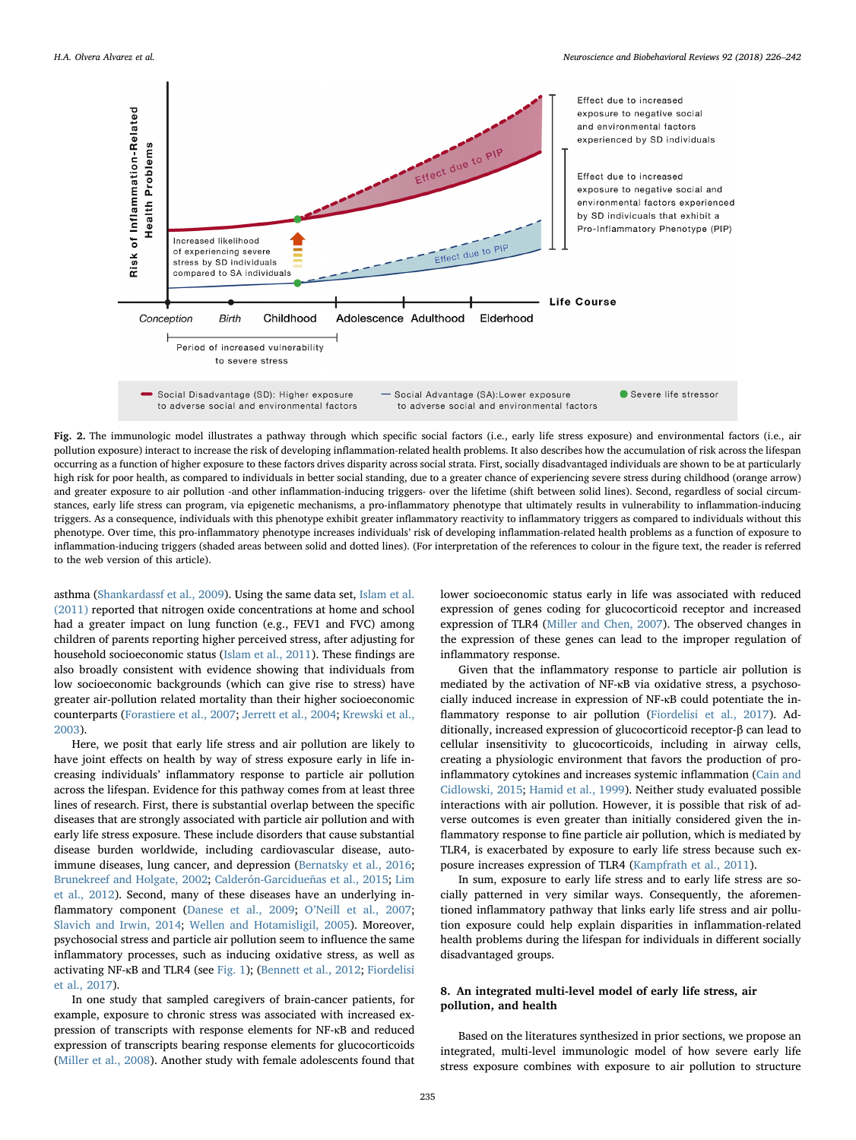<span id="page-9-0"></span>

Fig. 2. The immunologic model illustrates a pathway through which specific social factors (i.e., early life stress exposure) and environmental factors (i.e., air pollution exposure) interact to increase the risk of developing inflammation-related health problems. It also describes how the accumulation of risk across the lifespan occurring as a function of higher exposure to these factors drives disparity across social strata. First, socially disadvantaged individuals are shown to be at particularly high risk for poor health, as compared to individuals in better social standing, due to a greater chance of experiencing severe stress during childhood (orange arrow) and greater exposure to air pollution -and other inflammation-inducing triggers- over the lifetime (shift between solid lines). Second, regardless of social circumstances, early life stress can program, via epigenetic mechanisms, a pro-inflammatory phenotype that ultimately results in vulnerability to inflammation-inducing triggers. As a consequence, individuals with this phenotype exhibit greater inflammatory reactivity to inflammatory triggers as compared to individuals without this phenotype. Over time, this pro-inflammatory phenotype increases individuals' risk of developing inflammation-related health problems as a function of exposure to inflammation-inducing triggers (shaded areas between solid and dotted lines). (For interpretation of the references to colour in the figure text, the reader is referred to the web version of this article).

asthma [\(Shankardassf et al., 2009](#page-15-14)). Using the same data set, [Islam et al.](#page-13-11) [\(2011\)](#page-13-11) reported that nitrogen oxide concentrations at home and school had a greater impact on lung function (e.g., FEV1 and FVC) among children of parents reporting higher perceived stress, after adjusting for household socioeconomic status ([Islam et al., 2011\)](#page-13-11). These findings are also broadly consistent with evidence showing that individuals from low socioeconomic backgrounds (which can give rise to stress) have greater air-pollution related mortality than their higher socioeconomic counterparts [\(Forastiere et al., 2007](#page-13-12); [Jerrett et al., 2004](#page-13-13); [Krewski et al.,](#page-13-14) [2003\)](#page-13-14).

Here, we posit that early life stress and air pollution are likely to have joint effects on health by way of stress exposure early in life increasing individuals' inflammatory response to particle air pollution across the lifespan. Evidence for this pathway comes from at least three lines of research. First, there is substantial overlap between the specific diseases that are strongly associated with particle air pollution and with early life stress exposure. These include disorders that cause substantial disease burden worldwide, including cardiovascular disease, autoimmune diseases, lung cancer, and depression ([Bernatsky et al., 2016](#page-12-18); [Brunekreef and Holgate, 2002;](#page-12-19) [Calderón-Garcidueñas et al., 2015](#page-12-9); [Lim](#page-14-12) [et al., 2012\)](#page-14-12). Second, many of these diseases have an underlying in-flammatory component [\(Danese et al., 2009](#page-12-20); O'[Neill et al., 2007](#page-14-13); [Slavich and Irwin, 2014](#page-15-2); [Wellen and Hotamisligil, 2005\)](#page-15-15). Moreover, psychosocial stress and particle air pollution seem to influence the same inflammatory processes, such as inducing oxidative stress, as well as activating NF-κB and TLR4 (see [Fig. 1](#page-8-0)); ([Bennett et al., 2012](#page-12-14); [Fiordelisi](#page-13-9) [et al., 2017](#page-13-9)).

In one study that sampled caregivers of brain-cancer patients, for example, exposure to chronic stress was associated with increased expression of transcripts with response elements for NF-κB and reduced expression of transcripts bearing response elements for glucocorticoids ([Miller et al., 2008](#page-14-14)). Another study with female adolescents found that lower socioeconomic status early in life was associated with reduced expression of genes coding for glucocorticoid receptor and increased expression of TLR4 ([Miller and Chen, 2007](#page-14-15)). The observed changes in the expression of these genes can lead to the improper regulation of inflammatory response.

Given that the inflammatory response to particle air pollution is mediated by the activation of NF-κB via oxidative stress, a psychosocially induced increase in expression of NF-κB could potentiate the inflammatory response to air pollution [\(Fiordelisi et al., 2017](#page-13-9)). Additionally, increased expression of glucocorticoid receptor-β can lead to cellular insensitivity to glucocorticoids, including in airway cells, creating a physiologic environment that favors the production of proinflammatory cytokines and increases systemic inflammation [\(Cain and](#page-12-17) [Cidlowski, 2015;](#page-12-17) [Hamid et al., 1999\)](#page-13-10). Neither study evaluated possible interactions with air pollution. However, it is possible that risk of adverse outcomes is even greater than initially considered given the inflammatory response to fine particle air pollution, which is mediated by TLR4, is exacerbated by exposure to early life stress because such exposure increases expression of TLR4 [\(Kampfrath et al., 2011\)](#page-13-7).

In sum, exposure to early life stress and to early life stress are socially patterned in very similar ways. Consequently, the aforementioned inflammatory pathway that links early life stress and air pollution exposure could help explain disparities in inflammation-related health problems during the lifespan for individuals in different socially disadvantaged groups.

#### 8. An integrated multi-level model of early life stress, air pollution, and health

Based on the literatures synthesized in prior sections, we propose an integrated, multi-level immunologic model of how severe early life stress exposure combines with exposure to air pollution to structure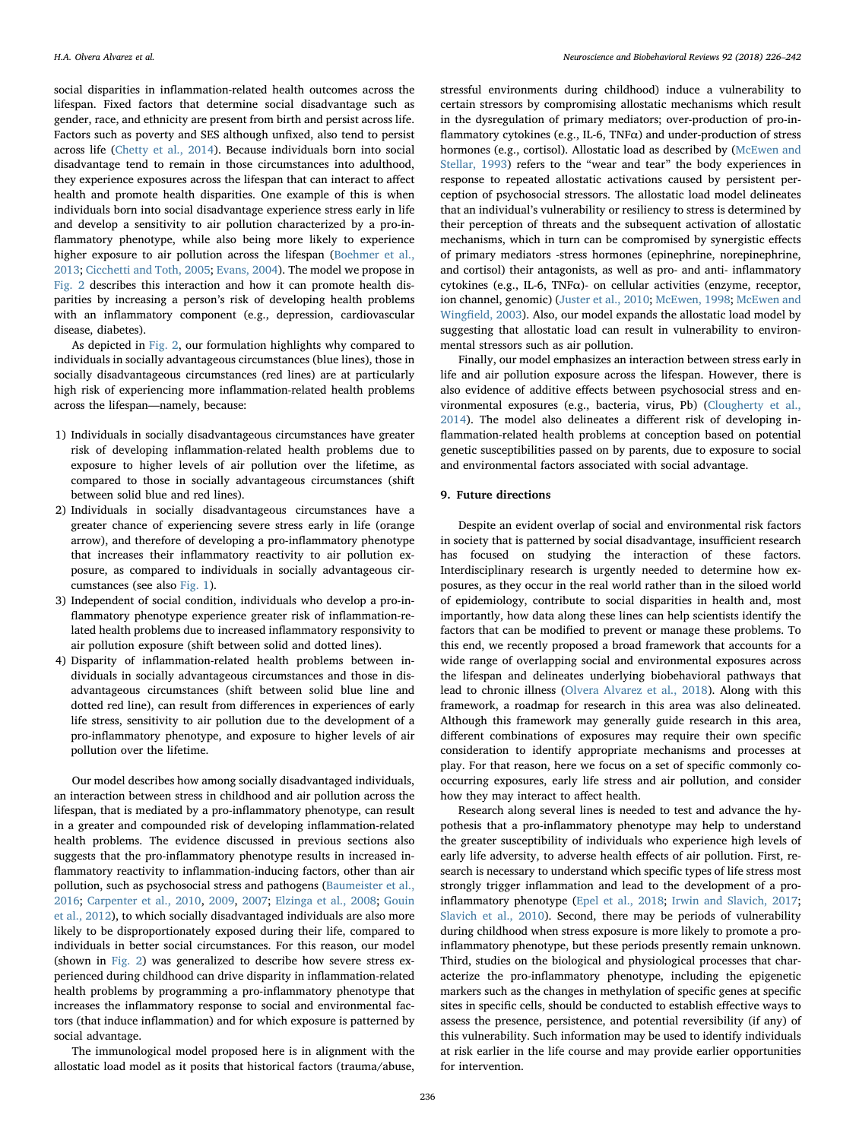social disparities in inflammation-related health outcomes across the lifespan. Fixed factors that determine social disadvantage such as gender, race, and ethnicity are present from birth and persist across life. Factors such as poverty and SES although unfixed, also tend to persist across life [\(Chetty et al., 2014\)](#page-12-21). Because individuals born into social disadvantage tend to remain in those circumstances into adulthood, they experience exposures across the lifespan that can interact to affect health and promote health disparities. One example of this is when individuals born into social disadvantage experience stress early in life and develop a sensitivity to air pollution characterized by a pro-inflammatory phenotype, while also being more likely to experience higher exposure to air pollution across the lifespan ([Boehmer et al.,](#page-12-5) [2013;](#page-12-5) [Cicchetti and Toth, 2005;](#page-12-22) [Evans, 2004](#page-12-23)). The model we propose in [Fig. 2](#page-9-0) describes this interaction and how it can promote health disparities by increasing a person's risk of developing health problems with an inflammatory component (e.g., depression, cardiovascular disease, diabetes).

As depicted in [Fig. 2](#page-9-0), our formulation highlights why compared to individuals in socially advantageous circumstances (blue lines), those in socially disadvantageous circumstances (red lines) are at particularly high risk of experiencing more inflammation-related health problems across the lifespan—namely, because:

- 1) Individuals in socially disadvantageous circumstances have greater risk of developing inflammation-related health problems due to exposure to higher levels of air pollution over the lifetime, as compared to those in socially advantageous circumstances (shift between solid blue and red lines).
- 2) Individuals in socially disadvantageous circumstances have a greater chance of experiencing severe stress early in life (orange arrow), and therefore of developing a pro-inflammatory phenotype that increases their inflammatory reactivity to air pollution exposure, as compared to individuals in socially advantageous circumstances (see also [Fig. 1\)](#page-8-0).
- 3) Independent of social condition, individuals who develop a pro-inflammatory phenotype experience greater risk of inflammation-related health problems due to increased inflammatory responsivity to air pollution exposure (shift between solid and dotted lines).
- 4) Disparity of inflammation-related health problems between individuals in socially advantageous circumstances and those in disadvantageous circumstances (shift between solid blue line and dotted red line), can result from differences in experiences of early life stress, sensitivity to air pollution due to the development of a pro-inflammatory phenotype, and exposure to higher levels of air pollution over the lifetime.

Our model describes how among socially disadvantaged individuals, an interaction between stress in childhood and air pollution across the lifespan, that is mediated by a pro-inflammatory phenotype, can result in a greater and compounded risk of developing inflammation-related health problems. The evidence discussed in previous sections also suggests that the pro-inflammatory phenotype results in increased inflammatory reactivity to inflammation-inducing factors, other than air pollution, such as psychosocial stress and pathogens [\(Baumeister et al.,](#page-11-4) [2016;](#page-11-4) [Carpenter et al., 2010](#page-12-24), [2009](#page-12-25), [2007](#page-12-26); [Elzinga et al., 2008](#page-12-27); [Gouin](#page-13-15) [et al., 2012](#page-13-15)), to which socially disadvantaged individuals are also more likely to be disproportionately exposed during their life, compared to individuals in better social circumstances. For this reason, our model (shown in [Fig. 2\)](#page-9-0) was generalized to describe how severe stress experienced during childhood can drive disparity in inflammation-related health problems by programming a pro-inflammatory phenotype that increases the inflammatory response to social and environmental factors (that induce inflammation) and for which exposure is patterned by social advantage.

The immunological model proposed here is in alignment with the allostatic load model as it posits that historical factors (trauma/abuse,

stressful environments during childhood) induce a vulnerability to certain stressors by compromising allostatic mechanisms which result in the dysregulation of primary mediators; over-production of pro-inflammatory cytokines (e.g., IL-6, TNFα) and under-production of stress hormones (e.g., cortisol). Allostatic load as described by [\(McEwen and](#page-14-16) [Stellar, 1993](#page-14-16)) refers to the "wear and tear" the body experiences in response to repeated allostatic activations caused by persistent perception of psychosocial stressors. The allostatic load model delineates that an individual's vulnerability or resiliency to stress is determined by their perception of threats and the subsequent activation of allostatic mechanisms, which in turn can be compromised by synergistic effects of primary mediators -stress hormones (epinephrine, norepinephrine, and cortisol) their antagonists, as well as pro- and anti- inflammatory cytokines (e.g., IL-6, TNFα)- on cellular activities (enzyme, receptor, ion channel, genomic) [\(Juster et al., 2010](#page-13-16); [McEwen, 1998](#page-14-17); [McEwen and](#page-14-18) Wingfi[eld, 2003](#page-14-18)). Also, our model expands the allostatic load model by suggesting that allostatic load can result in vulnerability to environmental stressors such as air pollution.

Finally, our model emphasizes an interaction between stress early in life and air pollution exposure across the lifespan. However, there is also evidence of additive effects between psychosocial stress and environmental exposures (e.g., bacteria, virus, Pb) ([Clougherty et al.,](#page-12-28) [2014\)](#page-12-28). The model also delineates a different risk of developing inflammation-related health problems at conception based on potential genetic susceptibilities passed on by parents, due to exposure to social and environmental factors associated with social advantage.

#### 9. Future directions

Despite an evident overlap of social and environmental risk factors in society that is patterned by social disadvantage, insufficient research has focused on studying the interaction of these factors. Interdisciplinary research is urgently needed to determine how exposures, as they occur in the real world rather than in the siloed world of epidemiology, contribute to social disparities in health and, most importantly, how data along these lines can help scientists identify the factors that can be modified to prevent or manage these problems. To this end, we recently proposed a broad framework that accounts for a wide range of overlapping social and environmental exposures across the lifespan and delineates underlying biobehavioral pathways that lead to chronic illness [\(Olvera Alvarez et al., 2018\)](#page-14-19). Along with this framework, a roadmap for research in this area was also delineated. Although this framework may generally guide research in this area, different combinations of exposures may require their own specific consideration to identify appropriate mechanisms and processes at play. For that reason, here we focus on a set of specific commonly cooccurring exposures, early life stress and air pollution, and consider how they may interact to affect health.

Research along several lines is needed to test and advance the hypothesis that a pro-inflammatory phenotype may help to understand the greater susceptibility of individuals who experience high levels of early life adversity, to adverse health effects of air pollution. First, research is necessary to understand which specific types of life stress most strongly trigger inflammation and lead to the development of a proinflammatory phenotype [\(Epel et al., 2018](#page-12-29); [Irwin and Slavich, 2017](#page-13-17); [Slavich et al., 2010\)](#page-15-16). Second, there may be periods of vulnerability during childhood when stress exposure is more likely to promote a proinflammatory phenotype, but these periods presently remain unknown. Third, studies on the biological and physiological processes that characterize the pro-inflammatory phenotype, including the epigenetic markers such as the changes in methylation of specific genes at specific sites in specific cells, should be conducted to establish effective ways to assess the presence, persistence, and potential reversibility (if any) of this vulnerability. Such information may be used to identify individuals at risk earlier in the life course and may provide earlier opportunities for intervention.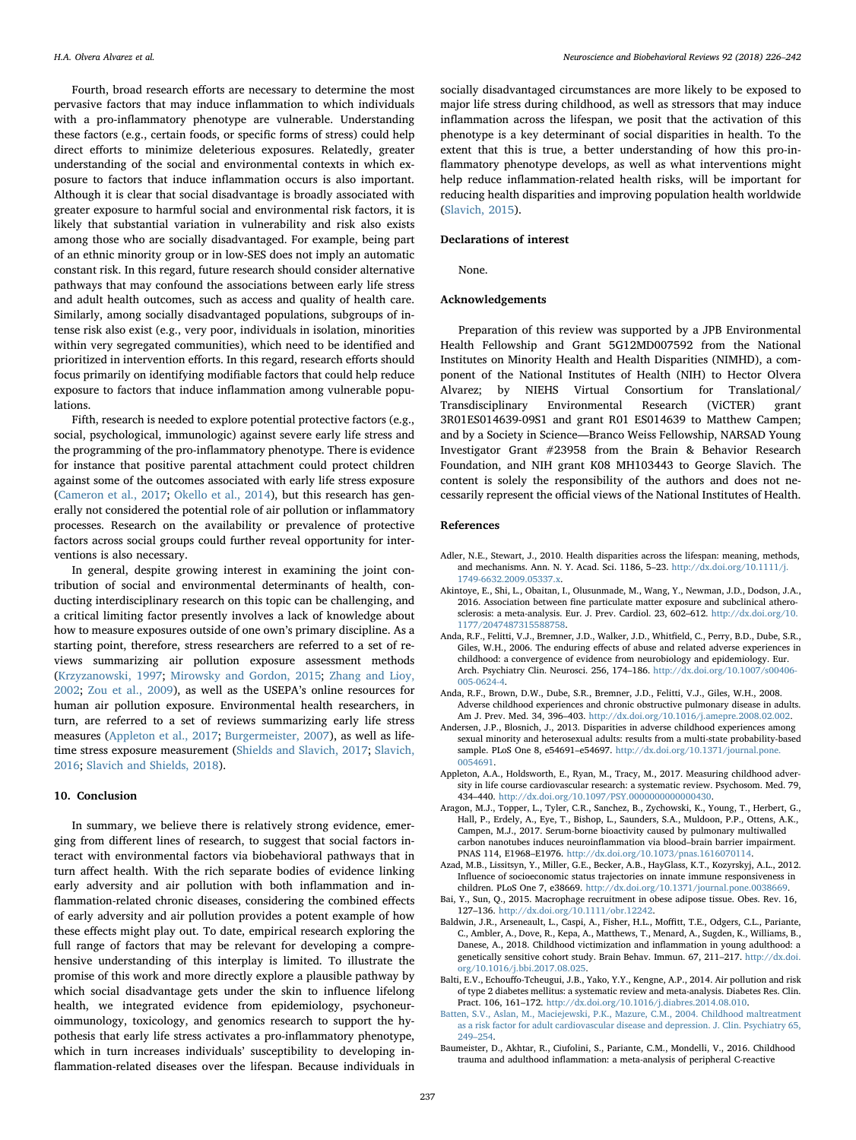Fourth, broad research efforts are necessary to determine the most pervasive factors that may induce inflammation to which individuals with a pro-inflammatory phenotype are vulnerable. Understanding these factors (e.g., certain foods, or specific forms of stress) could help direct efforts to minimize deleterious exposures. Relatedly, greater understanding of the social and environmental contexts in which exposure to factors that induce inflammation occurs is also important. Although it is clear that social disadvantage is broadly associated with greater exposure to harmful social and environmental risk factors, it is likely that substantial variation in vulnerability and risk also exists among those who are socially disadvantaged. For example, being part of an ethnic minority group or in low-SES does not imply an automatic constant risk. In this regard, future research should consider alternative pathways that may confound the associations between early life stress and adult health outcomes, such as access and quality of health care. Similarly, among socially disadvantaged populations, subgroups of intense risk also exist (e.g., very poor, individuals in isolation, minorities within very segregated communities), which need to be identified and prioritized in intervention efforts. In this regard, research efforts should focus primarily on identifying modifiable factors that could help reduce exposure to factors that induce inflammation among vulnerable populations.

Fifth, research is needed to explore potential protective factors (e.g., social, psychological, immunologic) against severe early life stress and the programming of the pro-inflammatory phenotype. There is evidence for instance that positive parental attachment could protect children against some of the outcomes associated with early life stress exposure ([Cameron et al., 2017](#page-12-30); [Okello et al., 2014](#page-14-20)), but this research has generally not considered the potential role of air pollution or inflammatory processes. Research on the availability or prevalence of protective factors across social groups could further reveal opportunity for interventions is also necessary.

In general, despite growing interest in examining the joint contribution of social and environmental determinants of health, conducting interdisciplinary research on this topic can be challenging, and a critical limiting factor presently involves a lack of knowledge about how to measure exposures outside of one own's primary discipline. As a starting point, therefore, stress researchers are referred to a set of reviews summarizing air pollution exposure assessment methods ([Krzyzanowski, 1997](#page-13-18); [Mirowsky and Gordon, 2015;](#page-14-21) [Zhang and Lioy,](#page-16-2) [2002;](#page-16-2) [Zou et al., 2009\)](#page-16-3), as well as the USEPA's online resources for human air pollution exposure. Environmental health researchers, in turn, are referred to a set of reviews summarizing early life stress measures ([Appleton et al., 2017;](#page-11-5) [Burgermeister, 2007](#page-12-31)), as well as lifetime stress exposure measurement ([Shields and Slavich, 2017](#page-15-17); [Slavich,](#page-15-18) [2016;](#page-15-18) [Slavich and Shields, 2018](#page-15-19)).

#### 10. Conclusion

In summary, we believe there is relatively strong evidence, emerging from different lines of research, to suggest that social factors interact with environmental factors via biobehavioral pathways that in turn affect health. With the rich separate bodies of evidence linking early adversity and air pollution with both inflammation and inflammation-related chronic diseases, considering the combined effects of early adversity and air pollution provides a potent example of how these effects might play out. To date, empirical research exploring the full range of factors that may be relevant for developing a comprehensive understanding of this interplay is limited. To illustrate the promise of this work and more directly explore a plausible pathway by which social disadvantage gets under the skin to influence lifelong health, we integrated evidence from epidemiology, psychoneuroimmunology, toxicology, and genomics research to support the hypothesis that early life stress activates a pro-inflammatory phenotype, which in turn increases individuals' susceptibility to developing inflammation-related diseases over the lifespan. Because individuals in

socially disadvantaged circumstances are more likely to be exposed to major life stress during childhood, as well as stressors that may induce inflammation across the lifespan, we posit that the activation of this phenotype is a key determinant of social disparities in health. To the extent that this is true, a better understanding of how this pro-inflammatory phenotype develops, as well as what interventions might help reduce inflammation-related health risks, will be important for reducing health disparities and improving population health worldwide ([Slavich, 2015\)](#page-15-20).

#### Declarations of interest

None.

#### Acknowledgements

Preparation of this review was supported by a JPB Environmental Health Fellowship and Grant 5G12MD007592 from the National Institutes on Minority Health and Health Disparities (NIMHD), a component of the National Institutes of Health (NIH) to Hector Olvera Alvarez; by NIEHS Virtual Consortium for Translational/ Transdisciplinary Environmental Research (ViCTER) grant 3R01ES014639-09S1 and grant R01 ES014639 to Matthew Campen; and by a Society in Science—Branco Weiss Fellowship, NARSAD Young Investigator Grant #23958 from the Brain & Behavior Research Foundation, and NIH grant K08 MH103443 to George Slavich. The content is solely the responsibility of the authors and does not necessarily represent the official views of the National Institutes of Health.

#### References

- <span id="page-11-0"></span>Adler, N.E., Stewart, J., 2010. Health disparities across the lifespan: meaning, methods, and mechanisms. Ann. N. Y. Acad. Sci. 1186, 5–23. [http://dx.doi.org/10.1111/j.](http://dx.doi.org/10.1111/j.1749-6632.2009.05337.x) [1749-6632.2009.05337.x](http://dx.doi.org/10.1111/j.1749-6632.2009.05337.x).
- Akintoye, E., Shi, L., Obaitan, I., Olusunmade, M., Wang, Y., Newman, J.D., Dodson, J.A., 2016. Association between fine particulate matter exposure and subclinical atherosclerosis: a meta-analysis. Eur. J. Prev. Cardiol. 23, 602–612. [http://dx.doi.org/10.](http://dx.doi.org/10.1177/2047487315588758) [1177/2047487315588758](http://dx.doi.org/10.1177/2047487315588758).
- Anda, R.F., Felitti, V.J., Bremner, J.D., Walker, J.D., Whitfield, C., Perry, B.D., Dube, S.R., Giles, W.H., 2006. The enduring effects of abuse and related adverse experiences in childhood: a convergence of evidence from neurobiology and epidemiology. Eur. Arch. Psychiatry Clin. Neurosci. 256, 174–186. [http://dx.doi.org/10.1007/s00406-](http://dx.doi.org/10.1007/s00406-005-0624-4) [005-0624-4](http://dx.doi.org/10.1007/s00406-005-0624-4).
- Anda, R.F., Brown, D.W., Dube, S.R., Bremner, J.D., Felitti, V.J., Giles, W.H., 2008. Adverse childhood experiences and chronic obstructive pulmonary disease in adults. Am J. Prev. Med. 34, 396–403. <http://dx.doi.org/10.1016/j.amepre.2008.02.002>.
- <span id="page-11-1"></span>Andersen, J.P., Blosnich, J., 2013. Disparities in adverse childhood experiences among sexual minority and heterosexual adults: results from a multi-state probability-based sample. PLoS One 8, e54691–e54697. [http://dx.doi.org/10.1371/journal.pone.](http://dx.doi.org/10.1371/journal.pone.0054691) [0054691.](http://dx.doi.org/10.1371/journal.pone.0054691)
- <span id="page-11-5"></span>Appleton, A.A., Holdsworth, E., Ryan, M., Tracy, M., 2017. Measuring childhood adversity in life course cardiovascular research: a systematic review. Psychosom. Med. 79, 434–440. <http://dx.doi.org/10.1097/PSY.0000000000000430>.
- <span id="page-11-3"></span>Aragon, M.J., Topper, L., Tyler, C.R., Sanchez, B., Zychowski, K., Young, T., Herbert, G., Hall, P., Erdely, A., Eye, T., Bishop, L., Saunders, S.A., Muldoon, P.P., Ottens, A.K., Campen, M.J., 2017. Serum-borne bioactivity caused by pulmonary multiwalled carbon nanotubes induces neuroinflammation via blood–brain barrier impairment. PNAS 114, E1968–E1976. <http://dx.doi.org/10.1073/pnas.1616070114>.
- Azad, M.B., Lissitsyn, Y., Miller, G.E., Becker, A.B., HayGlass, K.T., Kozyrskyj, A.L., 2012. Influence of socioeconomic status trajectories on innate immune responsiveness in children. PLoS One 7, e38669. <http://dx.doi.org/10.1371/journal.pone.0038669>.
- <span id="page-11-2"></span>Bai, Y., Sun, Q., 2015. Macrophage recruitment in obese adipose tissue. Obes. Rev. 16, 127–136. <http://dx.doi.org/10.1111/obr.12242>.
- Baldwin, J.R., Arseneault, L., Caspi, A., Fisher, H.L., Moffitt, T.E., Odgers, C.L., Pariante, C., Ambler, A., Dove, R., Kepa, A., Matthews, T., Menard, A., Sugden, K., Williams, B., Danese, A., 2018. Childhood victimization and inflammation in young adulthood: a genetically sensitive cohort study. Brain Behav. Immun. 67, 211–217. [http://dx.doi.](http://dx.doi.org/10.1016/j.bbi.2017.08.025) [org/10.1016/j.bbi.2017.08.025.](http://dx.doi.org/10.1016/j.bbi.2017.08.025)
- Balti, E.V., Echouffo-Tcheugui, J.B., Yako, Y.Y., Kengne, A.P., 2014. Air pollution and risk of type 2 diabetes mellitus: a systematic review and meta-analysis. Diabetes Res. Clin. Pract. 106, 161–172. [http://dx.doi.org/10.1016/j.diabres.2014.08.010.](http://dx.doi.org/10.1016/j.diabres.2014.08.010)
- [Batten, S.V., Aslan, M., Maciejewski, P.K., Mazure, C.M., 2004. Childhood maltreatment](http://refhub.elsevier.com/S0149-7634(17)30857-6/sbref0060) [as a risk factor for adult cardiovascular disease and depression. J. Clin. Psychiatry 65,](http://refhub.elsevier.com/S0149-7634(17)30857-6/sbref0060) 249–[254](http://refhub.elsevier.com/S0149-7634(17)30857-6/sbref0060).
- <span id="page-11-4"></span>Baumeister, D., Akhtar, R., Ciufolini, S., Pariante, C.M., Mondelli, V., 2016. Childhood trauma and adulthood inflammation: a meta-analysis of peripheral C-reactive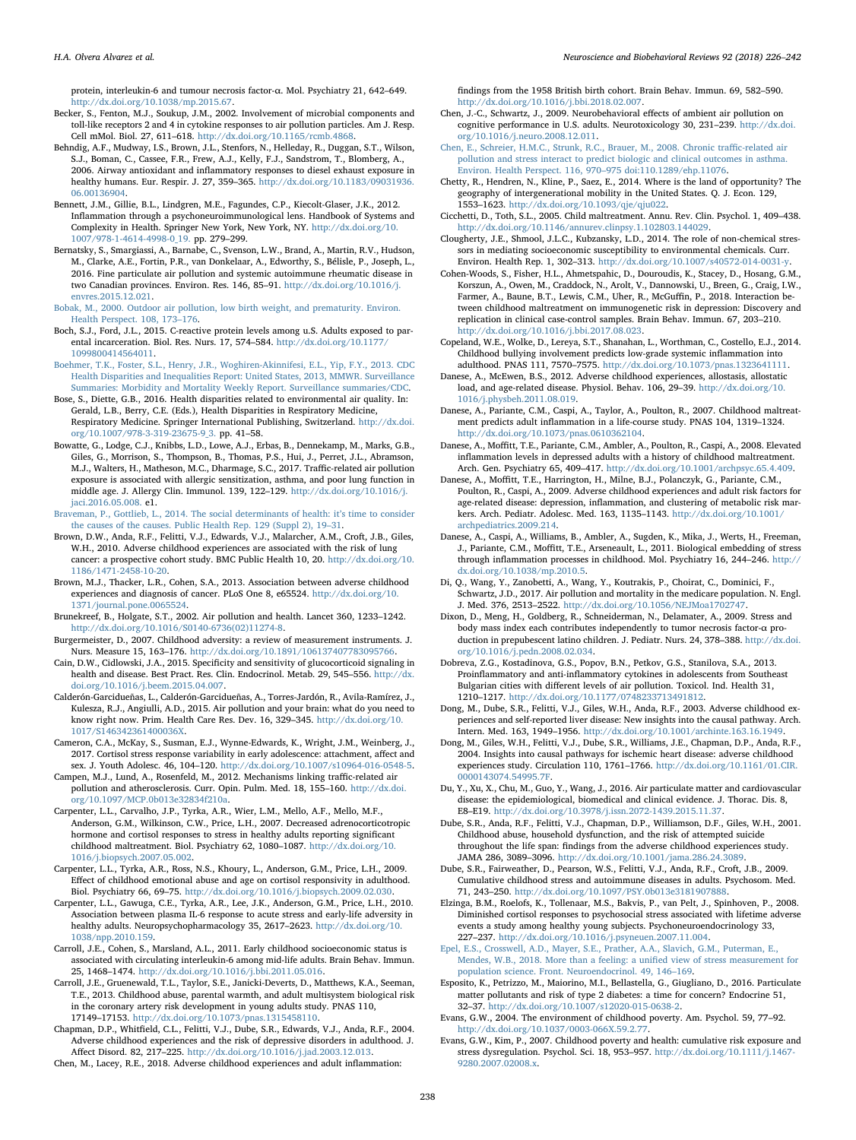protein, interleukin-6 and tumour necrosis factor-α. Mol. Psychiatry 21, 642–649. [http://dx.doi.org/10.1038/mp.2015.67.](http://dx.doi.org/10.1038/mp.2015.67)

- <span id="page-12-15"></span>Becker, S., Fenton, M.J., Soukup, J.M., 2002. Involvement of microbial components and toll-like receptors 2 and 4 in cytokine responses to air pollution particles. Am J. Resp. Cell mMol. Biol. 27, 611–618. <http://dx.doi.org/10.1165/rcmb.4868>.
- Behndig, A.F., Mudway, I.S., Brown, J.L., Stenfors, N., Helleday, R., Duggan, S.T., Wilson, S.J., Boman, C., Cassee, F.R., Frew, A.J., Kelly, F.J., Sandstrom, T., Blomberg, A., 2006. Airway antioxidant and inflammatory responses to diesel exhaust exposure in healthy humans. Eur. Respir. J. 27, 359–365. [http://dx.doi.org/10.1183/09031936.](http://dx.doi.org/10.1183/09031936.06.00136904) [06.00136904](http://dx.doi.org/10.1183/09031936.06.00136904).
- <span id="page-12-14"></span>Bennett, J.M., Gillie, B.L., Lindgren, M.E., Fagundes, C.P., Kiecolt-Glaser, J.K., 2012. Inflammation through a psychoneuroimmunological lens. Handbook of Systems and Complexity in Health. Springer New York, New York, NY. [http://dx.doi.org/10.](http://dx.doi.org/10.1007/978-1-4614-4998-0_19) [1007/978-1-4614-4998-0\\_19.](http://dx.doi.org/10.1007/978-1-4614-4998-0_19) pp. 279–299.
- <span id="page-12-18"></span>Bernatsky, S., Smargiassi, A., Barnabe, C., Svenson, L.W., Brand, A., Martin, R.V., Hudson, M., Clarke, A.E., Fortin, P.R., van Donkelaar, A., Edworthy, S., Bélisle, P., Joseph, L., 2016. Fine particulate air pollution and systemic autoimmune rheumatic disease in two Canadian provinces. Environ. Res. 146, 85–91. [http://dx.doi.org/10.1016/j.](http://dx.doi.org/10.1016/j.envres.2015.12.021) [envres.2015.12.021.](http://dx.doi.org/10.1016/j.envres.2015.12.021)

<span id="page-12-7"></span>[Bobak, M., 2000. Outdoor air pollution, low birth weight, and prematurity. Environ.](http://refhub.elsevier.com/S0149-7634(17)30857-6/sbref0090) [Health Perspect. 108, 173](http://refhub.elsevier.com/S0149-7634(17)30857-6/sbref0090)–176.

- Boch, S.J., Ford, J.L., 2015. C-reactive protein levels among u.S. Adults exposed to parental incarceration. Biol. Res. Nurs. 17, 574–584. [http://dx.doi.org/10.1177/](http://dx.doi.org/10.1177/1099800414564011) [1099800414564011.](http://dx.doi.org/10.1177/1099800414564011)
- <span id="page-12-5"></span>[Boehmer, T.K., Foster, S.L., Henry, J.R., Woghiren-Akinnifesi, E.L., Yip, F.Y., 2013. CDC](http://refhub.elsevier.com/S0149-7634(17)30857-6/sbref0100) [Health Disparities and Inequalities Report: United States, 2013, MMWR. Surveillance](http://refhub.elsevier.com/S0149-7634(17)30857-6/sbref0100) [Summaries: Morbidity and Mortality Weekly Report. Surveillance summaries/CDC](http://refhub.elsevier.com/S0149-7634(17)30857-6/sbref0100). Bose, S., Diette, G.B., 2016. Health disparities related to environmental air quality. In:

<span id="page-12-6"></span>Gerald, L.B., Berry, C.E. (Eds.), Health Disparities in Respiratory Medicine, Respiratory Medicine. Springer International Publishing, Switzerland. [http://dx.doi.](http://dx.doi.org/10.1007/978-3-319-23675-9_3) [org/10.1007/978-3-319-23675-9\\_3.](http://dx.doi.org/10.1007/978-3-319-23675-9_3) pp. 41–58.

- <span id="page-12-8"></span>Bowatte, G., Lodge, C.J., Knibbs, L.D., Lowe, A.J., Erbas, B., Dennekamp, M., Marks, G.B., Giles, G., Morrison, S., Thompson, B., Thomas, P.S., Hui, J., Perret, J.L., Abramson, M.J., Walters, H., Matheson, M.C., Dharmage, S.C., 2017. Traffic-related air pollution exposure is associated with allergic sensitization, asthma, and poor lung function in middle age. J. Allergy Clin. Immunol. 139, 122–129. [http://dx.doi.org/10.1016/j.](http://dx.doi.org/10.1016/j.jaci.2016.05.008) [jaci.2016.05.008.](http://dx.doi.org/10.1016/j.jaci.2016.05.008) e1.
- <span id="page-12-0"></span>[Braveman, P., Gottlieb, L., 2014. The social determinants of health: it](http://refhub.elsevier.com/S0149-7634(17)30857-6/sbref0115)'s time to consider [the causes of the causes. Public Health Rep. 129 \(Suppl 2\), 19](http://refhub.elsevier.com/S0149-7634(17)30857-6/sbref0115)–31.
- Brown, D.W., Anda, R.F., Felitti, V.J., Edwards, V.J., Malarcher, A.M., Croft, J.B., Giles, W.H., 2010. Adverse childhood experiences are associated with the risk of lung cancer: a prospective cohort study. BMC Public Health 10, 20. [http://dx.doi.org/10.](http://dx.doi.org/10.1186/1471-2458-10-20) [1186/1471-2458-10-20](http://dx.doi.org/10.1186/1471-2458-10-20).
- <span id="page-12-1"></span>Brown, M.J., Thacker, L.R., Cohen, S.A., 2013. Association between adverse childhood experiences and diagnosis of cancer. PLoS One 8, e65524. [http://dx.doi.org/10.](http://dx.doi.org/10.1371/journal.pone.0065524) [1371/journal.pone.0065524.](http://dx.doi.org/10.1371/journal.pone.0065524)
- <span id="page-12-19"></span>Brunekreef, B., Holgate, S.T., 2002. Air pollution and health. Lancet 360, 1233–1242. [http://dx.doi.org/10.1016/S0140-6736\(02\)11274-8](http://dx.doi.org/10.1016/S0140-6736(02)11274-8).
- <span id="page-12-31"></span>Burgermeister, D., 2007. Childhood adversity: a review of measurement instruments. J. Nurs. Measure 15, 163–176. [http://dx.doi.org/10.1891/106137407783095766.](http://dx.doi.org/10.1891/106137407783095766)
- <span id="page-12-17"></span>Cain, D.W., Cidlowski, J.A., 2015. Specificity and sensitivity of glucocorticoid signaling in health and disease. Best Pract. Res. Clin. Endocrinol. Metab. 29, 545–556. [http://dx.](http://dx.doi.org/10.1016/j.beem.2015.04.007) [doi.org/10.1016/j.beem.2015.04.007.](http://dx.doi.org/10.1016/j.beem.2015.04.007)
- <span id="page-12-9"></span>Calderón-Garcidueñas, L., Calderón-Garcidueñas, A., Torres-Jardón, R., Avila-Ramírez, J., Kulesza, R.J., Angiulli, A.D., 2015. Air pollution and your brain: what do you need to know right now. Prim. Health Care Res. Dev. 16, 329–345. [http://dx.doi.org/10.](http://dx.doi.org/10.1017/S146342361400036X) [1017/S146342361400036X](http://dx.doi.org/10.1017/S146342361400036X).
- <span id="page-12-30"></span>Cameron, C.A., McKay, S., Susman, E.J., Wynne-Edwards, K., Wright, J.M., Weinberg, J., 2017. Cortisol stress response variability in early adolescence: attachment, affect and sex. J. Youth Adolesc. 46, 104–120. [http://dx.doi.org/10.1007/s10964-016-0548-5.](http://dx.doi.org/10.1007/s10964-016-0548-5)
- <span id="page-12-10"></span>Campen, M.J., Lund, A., Rosenfeld, M., 2012. Mechanisms linking traffic-related air pollution and atherosclerosis. Curr. Opin. Pulm. Med. 18, 155–160. [http://dx.doi.](http://dx.doi.org/10.1097/MCP.0b013e32834f210a) [org/10.1097/MCP.0b013e32834f210a.](http://dx.doi.org/10.1097/MCP.0b013e32834f210a)
- <span id="page-12-26"></span>Carpenter, L.L., Carvalho, J.P., Tyrka, A.R., Wier, L.M., Mello, A.F., Mello, M.F., Anderson, G.M., Wilkinson, C.W., Price, L.H., 2007. Decreased adrenocorticotropic hormone and cortisol responses to stress in healthy adults reporting significant childhood maltreatment. Biol. Psychiatry 62, 1080–1087. [http://dx.doi.org/10.](http://dx.doi.org/10.1016/j.biopsych.2007.05.002) [1016/j.biopsych.2007.05.002](http://dx.doi.org/10.1016/j.biopsych.2007.05.002).
- <span id="page-12-25"></span>Carpenter, L.L., Tyrka, A.R., Ross, N.S., Khoury, L., Anderson, G.M., Price, L.H., 2009. Effect of childhood emotional abuse and age on cortisol responsivity in adulthood. Biol. Psychiatry 66, 69–75. [http://dx.doi.org/10.1016/j.biopsych.2009.02.030.](http://dx.doi.org/10.1016/j.biopsych.2009.02.030)
- <span id="page-12-24"></span>Carpenter, L.L., Gawuga, C.E., Tyrka, A.R., Lee, J.K., Anderson, G.M., Price, L.H., 2010. Association between plasma IL-6 response to acute stress and early-life adversity in healthy adults. Neuropsychopharmacology 35, 2617–2623. [http://dx.doi.org/10.](http://dx.doi.org/10.1038/npp.2010.159) [1038/npp.2010.159](http://dx.doi.org/10.1038/npp.2010.159).
- Carroll, J.E., Cohen, S., Marsland, A.L., 2011. Early childhood socioeconomic status is associated with circulating interleukin-6 among mid-life adults. Brain Behav. Immun. 25, 1468–1474. [http://dx.doi.org/10.1016/j.bbi.2011.05.016.](http://dx.doi.org/10.1016/j.bbi.2011.05.016)
- <span id="page-12-2"></span>Carroll, J.E., Gruenewald, T.L., Taylor, S.E., Janicki-Deverts, D., Matthews, K.A., Seeman, T.E., 2013. Childhood abuse, parental warmth, and adult multisystem biological risk in the coronary artery risk development in young adults study. PNAS 110, 17149–17153. <http://dx.doi.org/10.1073/pnas.1315458110>.
- <span id="page-12-3"></span>Chapman, D.P., Whitfield, C.L., Felitti, V.J., Dube, S.R., Edwards, V.J., Anda, R.F., 2004. Adverse childhood experiences and the risk of depressive disorders in adulthood. J. Affect Disord. 82, 217–225. <http://dx.doi.org/10.1016/j.jad.2003.12.013>.

Chen, M., Lacey, R.E., 2018. Adverse childhood experiences and adult inflammation:

findings from the 1958 British birth cohort. Brain Behav. Immun. 69, 582–590. [http://dx.doi.org/10.1016/j.bbi.2018.02.007.](http://dx.doi.org/10.1016/j.bbi.2018.02.007)

- Chen, J.-C., Schwartz, J., 2009. Neurobehavioral effects of ambient air pollution on cognitive performance in U.S. adults. Neurotoxicology 30, 231–239. [http://dx.doi.](http://dx.doi.org/10.1016/j.neuro.2008.12.011) [org/10.1016/j.neuro.2008.12.011](http://dx.doi.org/10.1016/j.neuro.2008.12.011).
- <span id="page-12-16"></span>[Chen, E., Schreier, H.M.C., Strunk, R.C., Brauer, M., 2008. Chronic tra](http://refhub.elsevier.com/S0149-7634(17)30857-6/sbref0200)ffic-related air [pollution and stress interact to predict biologic and clinical outcomes in asthma.](http://refhub.elsevier.com/S0149-7634(17)30857-6/sbref0200) [Environ. Health Perspect. 116, 970](http://refhub.elsevier.com/S0149-7634(17)30857-6/sbref0200)–975 doi:110.1289/ehp.11076.
- <span id="page-12-21"></span>Chetty, R., Hendren, N., Kline, P., Saez, E., 2014. Where is the land of opportunity? The geography of intergenerational mobility in the United States. Q. J. Econ. 129, 1553–1623. [http://dx.doi.org/10.1093/qje/qju022.](http://dx.doi.org/10.1093/qje/qju022)
- <span id="page-12-22"></span>Cicchetti, D., Toth, S.L., 2005. Child maltreatment. Annu. Rev. Clin. Psychol. 1, 409–438. <http://dx.doi.org/10.1146/annurev.clinpsy.1.102803.144029>.
- <span id="page-12-28"></span>Clougherty, J.E., Shmool, J.L.C., Kubzansky, L.D., 2014. The role of non-chemical stressors in mediating socioeconomic susceptibility to environmental chemicals. Curr. Environ. Health Rep. 1, 302–313. <http://dx.doi.org/10.1007/s40572-014-0031-y>.
- Cohen-Woods, S., Fisher, H.L., Ahmetspahic, D., Douroudis, K., Stacey, D., Hosang, G.M., Korszun, A., Owen, M., Craddock, N., Arolt, V., Dannowski, U., Breen, G., Craig, I.W., Farmer, A., Baune, B.T., Lewis, C.M., Uher, R., McGuffin, P., 2018. Interaction between childhood maltreatment on immunogenetic risk in depression: Discovery and replication in clinical case-control samples. Brain Behav. Immun. 67, 203–210. [http://dx.doi.org/10.1016/j.bbi.2017.08.023.](http://dx.doi.org/10.1016/j.bbi.2017.08.023)
- Copeland, W.E., Wolke, D., Lereya, S.T., Shanahan, L., Worthman, C., Costello, E.J., 2014. Childhood bullying involvement predicts low-grade systemic inflammation into adulthood. PNAS 111, 7570–7575. <http://dx.doi.org/10.1073/pnas.1323641111>.
- Danese, A., McEwen, B.S., 2012. Adverse childhood experiences, allostasis, allostatic load, and age-related disease. Physiol. Behav. 106, 29–39. [http://dx.doi.org/10.](http://dx.doi.org/10.1016/j.physbeh.2011.08.019) [1016/j.physbeh.2011.08.019.](http://dx.doi.org/10.1016/j.physbeh.2011.08.019)
- Danese, A., Pariante, C.M., Caspi, A., Taylor, A., Poulton, R., 2007. Childhood maltreatment predicts adult inflammation in a life-course study. PNAS 104, 1319–1324. <http://dx.doi.org/10.1073/pnas.0610362104>.
- Danese, A., Moffitt, T.E., Pariante, C.M., Ambler, A., Poulton, R., Caspi, A., 2008. Elevated inflammation levels in depressed adults with a history of childhood maltreatment. Arch. Gen. Psychiatry 65, 409–417. [http://dx.doi.org/10.1001/archpsyc.65.4.409.](http://dx.doi.org/10.1001/archpsyc.65.4.409)
- <span id="page-12-20"></span>Danese, A., Moffitt, T.E., Harrington, H., Milne, B.J., Polanczyk, G., Pariante, C.M., Poulton, R., Caspi, A., 2009. Adverse childhood experiences and adult risk factors for age-related disease: depression, inflammation, and clustering of metabolic risk markers. Arch. Pediatr. Adolesc. Med. 163, 1135–1143. [http://dx.doi.org/10.1001/](http://dx.doi.org/10.1001/archpediatrics.2009.214) [archpediatrics.2009.214](http://dx.doi.org/10.1001/archpediatrics.2009.214).
- Danese, A., Caspi, A., Williams, B., Ambler, A., Sugden, K., Mika, J., Werts, H., Freeman, J., Pariante, C.M., Moffitt, T.E., Arseneault, L., 2011. Biological embedding of stress through inflammation processes in childhood. Mol. Psychiatry 16, 244–246. [http://](http://dx.doi.org/10.1038/mp.2010.5) [dx.doi.org/10.1038/mp.2010.5](http://dx.doi.org/10.1038/mp.2010.5).
- <span id="page-12-12"></span>Di, Q., Wang, Y., Zanobetti, A., Wang, Y., Koutrakis, P., Choirat, C., Dominici, F., Schwartz, J.D., 2017. Air pollution and mortality in the medicare population. N. Engl. J. Med. 376, 2513–2522. [http://dx.doi.org/10.1056/NEJMoa1702747.](http://dx.doi.org/10.1056/NEJMoa1702747)
- Dixon, D., Meng, H., Goldberg, R., Schneiderman, N., Delamater, A., 2009. Stress and body mass index each contributes independently to tumor necrosis factor-α production in prepubescent latino children. J. Pediatr. Nurs. 24, 378–388. [http://dx.doi.](http://dx.doi.org/10.1016/j.pedn.2008.02.034) [org/10.1016/j.pedn.2008.02.034.](http://dx.doi.org/10.1016/j.pedn.2008.02.034)
- Dobreva, Z.G., Kostadinova, G.S., Popov, B.N., Petkov, G.S., Stanilova, S.A., 2013. Proinflammatory and anti-inflammatory cytokines in adolescents from Southeast Bulgarian cities with different levels of air pollution. Toxicol. Ind. Health 31, 1210–1217. [http://dx.doi.org/10.1177/0748233713491812.](http://dx.doi.org/10.1177/0748233713491812)
- Dong, M., Dube, S.R., Felitti, V.J., Giles, W.H., Anda, R.F., 2003. Adverse childhood experiences and self-reported liver disease: New insights into the causal pathway. Arch. Intern. Med. 163, 1949–1956. <http://dx.doi.org/10.1001/archinte.163.16.1949>.
- Dong, M., Giles, W.H., Felitti, V.J., Dube, S.R., Williams, J.E., Chapman, D.P., Anda, R.F., 2004. Insights into causal pathways for ischemic heart disease: adverse childhood experiences study. Circulation 110, 1761–1766. [http://dx.doi.org/10.1161/01.CIR.](http://dx.doi.org/10.1161/01.CIR.0000143074.54995.7F) [0000143074.54995.7F](http://dx.doi.org/10.1161/01.CIR.0000143074.54995.7F).
- Du, Y., Xu, X., Chu, M., Guo, Y., Wang, J., 2016. Air particulate matter and cardiovascular disease: the epidemiological, biomedical and clinical evidence. J. Thorac. Dis. 8, E8–E19. [http://dx.doi.org/10.3978/j.issn.2072-1439.2015.11.37.](http://dx.doi.org/10.3978/j.issn.2072-1439.2015.11.37)
- Dube, S.R., Anda, R.F., Felitti, V.J., Chapman, D.P., Williamson, D.F., Giles, W.H., 2001. Childhood abuse, household dysfunction, and the risk of attempted suicide throughout the life span: findings from the adverse childhood experiences study. JAMA 286, 3089–3096. [http://dx.doi.org/10.1001/jama.286.24.3089.](http://dx.doi.org/10.1001/jama.286.24.3089)
- <span id="page-12-4"></span>Dube, S.R., Fairweather, D., Pearson, W.S., Felitti, V.J., Anda, R.F., Croft, J.B., 2009. Cumulative childhood stress and autoimmune diseases in adults. Psychosom. Med. 71, 243–250. [http://dx.doi.org/10.1097/PSY.0b013e3181907888.](http://dx.doi.org/10.1097/PSY.0b013e3181907888)
- <span id="page-12-27"></span>Elzinga, B.M., Roelofs, K., Tollenaar, M.S., Bakvis, P., van Pelt, J., Spinhoven, P., 2008. Diminished cortisol responses to psychosocial stress associated with lifetime adverse events a study among healthy young subjects. Psychoneuroendocrinology 33, 227–237. [http://dx.doi.org/10.1016/j.psyneuen.2007.11.004.](http://dx.doi.org/10.1016/j.psyneuen.2007.11.004)
- <span id="page-12-29"></span>[Epel, E.S., Crosswell, A.D., Mayer, S.E., Prather, A.A., Slavich, G.M., Puterman, E.,](http://refhub.elsevier.com/S0149-7634(17)30857-6/sbref0300) [Mendes, W.B., 2018. More than a feeling: a uni](http://refhub.elsevier.com/S0149-7634(17)30857-6/sbref0300)fied view of stress measurement for [population science. Front. Neuroendocrinol. 49, 146](http://refhub.elsevier.com/S0149-7634(17)30857-6/sbref0300)–169.
- <span id="page-12-11"></span>Esposito, K., Petrizzo, M., Maiorino, M.I., Bellastella, G., Giugliano, D., 2016. Particulate matter pollutants and risk of type 2 diabetes: a time for concern? Endocrine 51, 32–37. <http://dx.doi.org/10.1007/s12020-015-0638-2>.
- <span id="page-12-23"></span>Evans, G.W., 2004. The environment of childhood poverty. Am. Psychol. 59, 77–92. [http://dx.doi.org/10.1037/0003-066X.59.2.77.](http://dx.doi.org/10.1037/0003-066X.59.2.77)
- <span id="page-12-13"></span>Evans, G.W., Kim, P., 2007. Childhood poverty and health: cumulative risk exposure and stress dysregulation. Psychol. Sci. 18, 953–957. [http://dx.doi.org/10.1111/j.1467-](http://dx.doi.org/10.1111/j.1467-9280.2007.02008.x) [9280.2007.02008.x.](http://dx.doi.org/10.1111/j.1467-9280.2007.02008.x)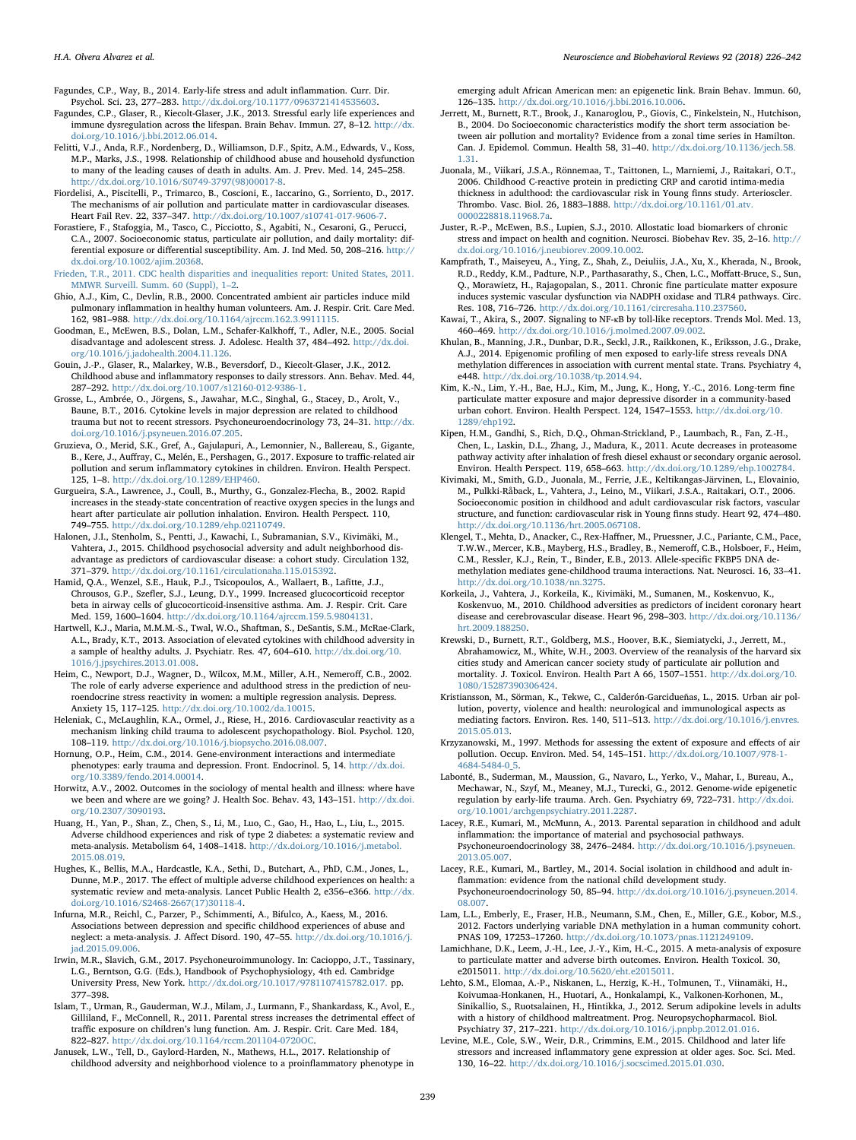Fagundes, C.P., Way, B., 2014. Early-life stress and adult inflammation. Curr. Dir. Psychol. Sci. 23, 277–283. <http://dx.doi.org/10.1177/0963721414535603>.

- Fagundes, C.P., Glaser, R., Kiecolt-Glaser, J.K., 2013. Stressful early life experiences and immune dysregulation across the lifespan. Brain Behav. Immun. 27, 8–12. [http://dx.](http://dx.doi.org/10.1016/j.bbi.2012.06.014) [doi.org/10.1016/j.bbi.2012.06.014.](http://dx.doi.org/10.1016/j.bbi.2012.06.014)
- <span id="page-13-0"></span>Felitti, V.J., Anda, R.F., Nordenberg, D., Williamson, D.F., Spitz, A.M., Edwards, V., Koss, M.P., Marks, J.S., 1998. Relationship of childhood abuse and household dysfunction to many of the leading causes of death in adults. Am. J. Prev. Med. 14, 245–258. [http://dx.doi.org/10.1016/S0749-3797\(98\)00017-8](http://dx.doi.org/10.1016/S0749-3797(98)00017-8).
- <span id="page-13-9"></span>Fiordelisi, A., Piscitelli, P., Trimarco, B., Coscioni, E., Iaccarino, G., Sorriento, D., 2017. The mechanisms of air pollution and particulate matter in cardiovascular diseases. Heart Fail Rev. 22, 337–347. [http://dx.doi.org/10.1007/s10741-017-9606-7.](http://dx.doi.org/10.1007/s10741-017-9606-7)
- <span id="page-13-12"></span>Forastiere, F., Stafoggia, M., Tasco, C., Picciotto, S., Agabiti, N., Cesaroni, G., Perucci, C.A., 2007. Socioeconomic status, particulate air pollution, and daily mortality: differential exposure or differential susceptibility. Am. J. Ind Med. 50, 208–216. [http://](http://dx.doi.org/10.1002/ajim.20368) [dx.doi.org/10.1002/ajim.20368](http://dx.doi.org/10.1002/ajim.20368).
- <span id="page-13-3"></span>[Frieden, T.R., 2011. CDC health disparities and inequalities report: United States, 2011.](http://refhub.elsevier.com/S0149-7634(17)30857-6/sbref0345) [MMWR Surveill. Summ. 60 \(Suppl\), 1](http://refhub.elsevier.com/S0149-7634(17)30857-6/sbref0345)–2.
- <span id="page-13-5"></span>Ghio, A.J., Kim, C., Devlin, R.B., 2000. Concentrated ambient air particles induce mild pulmonary inflammation in healthy human volunteers. Am. J. Respir. Crit. Care Med. 162, 981–988. [http://dx.doi.org/10.1164/ajrccm.162.3.9911115.](http://dx.doi.org/10.1164/ajrccm.162.3.9911115)
- <span id="page-13-1"></span>Goodman, E., McEwen, B.S., Dolan, L.M., Schafer-Kalkhoff, T., Adler, N.E., 2005. Social disadvantage and adolescent stress. J. Adolesc. Health 37, 484–492. [http://dx.doi.](http://dx.doi.org/10.1016/j.jadohealth.2004.11.126) [org/10.1016/j.jadohealth.2004.11.126.](http://dx.doi.org/10.1016/j.jadohealth.2004.11.126)
- <span id="page-13-15"></span>Gouin, J.-P., Glaser, R., Malarkey, W.B., Beversdorf, D., Kiecolt-Glaser, J.K., 2012. Childhood abuse and inflammatory responses to daily stressors. Ann. Behav. Med. 44, 287–292. <http://dx.doi.org/10.1007/s12160-012-9386-1>.
- Grosse, L., Ambrée, O., Jörgens, S., Jawahar, M.C., Singhal, G., Stacey, D., Arolt, V., Baune, B.T., 2016. Cytokine levels in major depression are related to childhood trauma but not to recent stressors. Psychoneuroendocrinology 73, 24–31. [http://dx.](http://dx.doi.org/10.1016/j.psyneuen.2016.07.205) [doi.org/10.1016/j.psyneuen.2016.07.205](http://dx.doi.org/10.1016/j.psyneuen.2016.07.205).
- Gruzieva, O., Merid, S.K., Gref, A., Gajulapuri, A., Lemonnier, N., Ballereau, S., Gigante, B., Kere, J., Auffray, C., Melén, E., Pershagen, G., 2017. Exposure to traffic-related air pollution and serum inflammatory cytokines in children. Environ. Health Perspect. 125, 1–8. <http://dx.doi.org/10.1289/EHP460>.
- <span id="page-13-6"></span>Gurgueira, S.A., Lawrence, J., Coull, B., Murthy, G., Gonzalez-Flecha, B., 2002. Rapid increases in the steady-state concentration of reactive oxygen species in the lungs and heart after particulate air pollution inhalation. Environ. Health Perspect. 110, 749–755. [http://dx.doi.org/10.1289/ehp.02110749.](http://dx.doi.org/10.1289/ehp.02110749)
- Halonen, J.I., Stenholm, S., Pentti, J., Kawachi, I., Subramanian, S.V., Kivimäki, M., Vahtera, J., 2015. Childhood psychosocial adversity and adult neighborhood disadvantage as predictors of cardiovascular disease: a cohort study. Circulation 132, 371–379. <http://dx.doi.org/10.1161/circulationaha.115.015392>.
- <span id="page-13-10"></span>Hamid, Q.A., Wenzel, S.E., Hauk, P.J., Tsicopoulos, A., Wallaert, B., Lafitte, J.J., Chrousos, G.P., Szefler, S.J., Leung, D.Y., 1999. Increased glucocorticoid receptor beta in airway cells of glucocorticoid-insensitive asthma. Am. J. Respir. Crit. Care Med. 159, 1600–1604. [http://dx.doi.org/10.1164/ajrccm.159.5.9804131.](http://dx.doi.org/10.1164/ajrccm.159.5.9804131)
- Hartwell, K.J., Maria, M.M.M.-S., Twal, W.O., Shaftman, S., DeSantis, S.M., McRae-Clark, A.L., Brady, K.T., 2013. Association of elevated cytokines with childhood adversity in a sample of healthy adults. J. Psychiatr. Res. 47, 604–610. [http://dx.doi.org/10.](http://dx.doi.org/10.1016/j.jpsychires.2013.01.008) [1016/j.jpsychires.2013.01.008](http://dx.doi.org/10.1016/j.jpsychires.2013.01.008).
- Heim, C., Newport, D.J., Wagner, D., Wilcox, M.M., Miller, A.H., Nemeroff, C.B., 2002. The role of early adverse experience and adulthood stress in the prediction of neuroendocrine stress reactivity in women: a multiple regression analysis. Depress. Anxiety 15, 117–125. [http://dx.doi.org/10.1002/da.10015.](http://dx.doi.org/10.1002/da.10015)
- Heleniak, C., McLaughlin, K.A., Ormel, J., Riese, H., 2016. Cardiovascular reactivity as a mechanism linking child trauma to adolescent psychopathology. Biol. Psychol. 120, 108–119. [http://dx.doi.org/10.1016/j.biopsycho.2016.08.007.](http://dx.doi.org/10.1016/j.biopsycho.2016.08.007)
- Hornung, O.P., Heim, C.M., 2014. Gene-environment interactions and intermediate phenotypes: early trauma and depression. Front. Endocrinol. 5, 14. [http://dx.doi.](http://dx.doi.org/10.3389/fendo.2014.00014) [org/10.3389/fendo.2014.00014](http://dx.doi.org/10.3389/fendo.2014.00014).
- <span id="page-13-2"></span>Horwitz, A.V., 2002. Outcomes in the sociology of mental health and illness: where have we been and where are we going? J. Health Soc. Behav. 43, 143–151. [http://dx.doi.](http://dx.doi.org/10.2307/3090193) [org/10.2307/3090193.](http://dx.doi.org/10.2307/3090193)
- Huang, H., Yan, P., Shan, Z., Chen, S., Li, M., Luo, C., Gao, H., Hao, L., Liu, L., 2015. Adverse childhood experiences and risk of type 2 diabetes: a systematic review and meta-analysis. Metabolism 64, 1408–1418. [http://dx.doi.org/10.1016/j.metabol.](http://dx.doi.org/10.1016/j.metabol.2015.08.019) [2015.08.019](http://dx.doi.org/10.1016/j.metabol.2015.08.019).
- Hughes, K., Bellis, M.A., Hardcastle, K.A., Sethi, D., Butchart, A., PhD, C.M., Jones, L., Dunne, M.P., 2017. The effect of multiple adverse childhood experiences on health: a systematic review and meta-analysis. Lancet Public Health 2, e356–e366. [http://dx.](http://dx.doi.org/10.1016/S2468-2667(17)30118-4) [doi.org/10.1016/S2468-2667\(17\)30118-4.](http://dx.doi.org/10.1016/S2468-2667(17)30118-4)
- Infurna, M.R., Reichl, C., Parzer, P., Schimmenti, A., Bifulco, A., Kaess, M., 2016. Associations between depression and specific childhood experiences of abuse and neglect: a meta-analysis. J. Affect Disord. 190, 47–55. [http://dx.doi.org/10.1016/j.](http://dx.doi.org/10.1016/j.jad.2015.09.006) [jad.2015.09.006.](http://dx.doi.org/10.1016/j.jad.2015.09.006)
- <span id="page-13-17"></span>Irwin, M.R., Slavich, G.M., 2017. Psychoneuroimmunology. In: Cacioppo, J.T., Tassinary, L.G., Berntson, G.G. (Eds.), Handbook of Psychophysiology, 4th ed. Cambridge University Press, New York. [http://dx.doi.org/10.1017/9781107415782.017.](http://dx.doi.org/10.1017/9781107415782.017) pp. 377–[398](http://dx.doi.org/10.1017/9781107415782.017).
- <span id="page-13-11"></span>Islam, T., Urman, R., Gauderman, W.J., Milam, J., Lurmann, F., Shankardass, K., Avol, E., Gilliland, F., McConnell, R., 2011. Parental stress increases the detrimental effect of traffic exposure on children's lung function. Am. J. Respir. Crit. Care Med. 184, 822-827. http://dx.doi.org/10.1164/rccm.201104-0720O
- Janusek, L.W., Tell, D., Gaylord-Harden, N., Mathews, H.L., 2017. Relationship of childhood adversity and neighborhood violence to a proinflammatory phenotype in

emerging adult African American men: an epigenetic link. Brain Behav. Immun. 60, 126–135. <http://dx.doi.org/10.1016/j.bbi.2016.10.006>.

- <span id="page-13-13"></span>Jerrett, M., Burnett, R.T., Brook, J., Kanaroglou, P., Giovis, C., Finkelstein, N., Hutchison, B., 2004. Do Socioeconomic characteristics modify the short term association between air pollution and mortality? Evidence from a zonal time series in Hamilton. Can. J. Epidemol. Commun. Health 58, 31–40. [http://dx.doi.org/10.1136/jech.58.](http://dx.doi.org/10.1136/jech.58.1.31) [1.31](http://dx.doi.org/10.1136/jech.58.1.31).
- Juonala, M., Viikari, J.S.A., Rönnemaa, T., Taittonen, L., Marniemi, J., Raitakari, O.T., 2006. Childhood C-reactive protein in predicting CRP and carotid intima-media thickness in adulthood: the cardiovascular risk in Young finns study. Arterioscler. Thrombo. Vasc. Biol. 26, 1883–1888. [http://dx.doi.org/10.1161/01.atv.](http://dx.doi.org/10.1161/01.atv.0000228818.11968.7a) [0000228818.11968.7a.](http://dx.doi.org/10.1161/01.atv.0000228818.11968.7a)
- <span id="page-13-16"></span>Juster, R.-P., McEwen, B.S., Lupien, S.J., 2010. Allostatic load biomarkers of chronic stress and impact on health and cognition. Neurosci. Biobehav Rev. 35, 2–16. [http://](http://dx.doi.org/10.1016/j.neubiorev.2009.10.002) [dx.doi.org/10.1016/j.neubiorev.2009.10.002](http://dx.doi.org/10.1016/j.neubiorev.2009.10.002).
- <span id="page-13-7"></span>Kampfrath, T., Maiseyeu, A., Ying, Z., Shah, Z., Deiuliis, J.A., Xu, X., Kherada, N., Brook, R.D., Reddy, K.M., Padture, N.P., Parthasarathy, S., Chen, L.C., Moffatt-Bruce, S., Sun, Q., Morawietz, H., Rajagopalan, S., 2011. Chronic fine particulate matter exposure induces systemic vascular dysfunction via NADPH oxidase and TLR4 pathways. Circ. Res. 108, 716–726. <http://dx.doi.org/10.1161/circresaha.110.237560>.
- <span id="page-13-8"></span>Kawai, T., Akira, S., 2007. Signaling to NF-κB by toll-like receptors. Trends Mol. Med. 13, 460–469. <http://dx.doi.org/10.1016/j.molmed.2007.09.002>.
- Khulan, B., Manning, J.R., Dunbar, D.R., Seckl, J.R., Raikkonen, K., Eriksson, J.G., Drake, A.J., 2014. Epigenomic profiling of men exposed to early-life stress reveals DNA methylation differences in association with current mental state. Trans. Psychiatry 4, e448. <http://dx.doi.org/10.1038/tp.2014.94>.
- Kim, K.-N., Lim, Y.-H., Bae, H.J., Kim, M., Jung, K., Hong, Y.-C., 2016. Long-term fine particulate matter exposure and major depressive disorder in a community-based urban cohort. Environ. Health Perspect. 124, 1547–1553. [http://dx.doi.org/10.](http://dx.doi.org/10.1289/ehp192) [1289/ehp192](http://dx.doi.org/10.1289/ehp192).
- Kipen, H.M., Gandhi, S., Rich, D.Q., Ohman-Strickland, P., Laumbach, R., Fan, Z.-H., Chen, L., Laskin, D.L., Zhang, J., Madura, K., 2011. Acute decreases in proteasome pathway activity after inhalation of fresh diesel exhaust or secondary organic aerosol. Environ. Health Perspect. 119, 658–663. [http://dx.doi.org/10.1289/ehp.1002784.](http://dx.doi.org/10.1289/ehp.1002784)
- Kivimaki, M., Smith, G.D., Juonala, M., Ferrie, J.E., Keltikangas-Järvinen, L., Elovainio, M., Pulkki-Råback, L., Vahtera, J., Leino, M., Viikari, J.S.A., Raitakari, O.T., 2006. Socioeconomic position in childhood and adult cardiovascular risk factors, vascular structure, and function: cardiovascular risk in Young finns study. Heart 92, 474–480. <http://dx.doi.org/10.1136/hrt.2005.067108>.
- Klengel, T., Mehta, D., Anacker, C., Rex-Haffner, M., Pruessner, J.C., Pariante, C.M., Pace, T.W.W., Mercer, K.B., Mayberg, H.S., Bradley, B., Nemeroff, C.B., Holsboer, F., Heim, C.M., Ressler, K.J., Rein, T., Binder, E.B., 2013. Allele-specific FKBP5 DNA demethylation mediates gene-childhood trauma interactions. Nat. Neurosci. 16, 33–41. [http://dx.doi.org/10.1038/nn.3275.](http://dx.doi.org/10.1038/nn.3275)
- Korkeila, J., Vahtera, J., Korkeila, K., Kivimäki, M., Sumanen, M., Koskenvuo, K., Koskenvuo, M., 2010. Childhood adversities as predictors of incident coronary heart disease and cerebrovascular disease. Heart 96, 298–303. [http://dx.doi.org/10.1136/](http://dx.doi.org/10.1136/hrt.2009.188250) [hrt.2009.188250](http://dx.doi.org/10.1136/hrt.2009.188250).
- <span id="page-13-14"></span>Krewski, D., Burnett, R.T., Goldberg, M.S., Hoover, B.K., Siemiatycki, J., Jerrett, M., Abrahamowicz, M., White, W.H., 2003. Overview of the reanalysis of the harvard six cities study and American cancer society study of particulate air pollution and mortality. J. Toxicol. Environ. Health Part A 66, 1507–1551. [http://dx.doi.org/10.](http://dx.doi.org/10.1080/15287390306424) [1080/15287390306424](http://dx.doi.org/10.1080/15287390306424).
- <span id="page-13-4"></span>Kristiansson, M., Sörman, K., Tekwe, C., Calderón-Garcidueñas, L., 2015. Urban air pollution, poverty, violence and health: neurological and immunological aspects as mediating factors. Environ. Res. 140, 511–513. [http://dx.doi.org/10.1016/j.envres.](http://dx.doi.org/10.1016/j.envres.2015.05.013) [2015.05.013](http://dx.doi.org/10.1016/j.envres.2015.05.013).
- <span id="page-13-18"></span>Krzyzanowski, M., 1997. Methods for assessing the extent of exposure and effects of air pollution. Occup. Environ. Med. 54, 145–151. [http://dx.doi.org/10.1007/978-1-](http://dx.doi.org/10.1007/978-1-4684-5484-0_5) [4684-5484-0\\_5.](http://dx.doi.org/10.1007/978-1-4684-5484-0_5)
- Labonté, B., Suderman, M., Maussion, G., Navaro, L., Yerko, V., Mahar, I., Bureau, A., Mechawar, N., Szyf, M., Meaney, M.J., Turecki, G., 2012. Genome-wide epigenetic regulation by early-life trauma. Arch. Gen. Psychiatry 69, 722–731. [http://dx.doi.](http://dx.doi.org/10.1001/archgenpsychiatry.2011.2287) [org/10.1001/archgenpsychiatry.2011.2287.](http://dx.doi.org/10.1001/archgenpsychiatry.2011.2287)
- Lacey, R.E., Kumari, M., McMunn, A., 2013. Parental separation in childhood and adult inflammation: the importance of material and psychosocial pathways. Psychoneuroendocrinology 38, 2476–2484. [http://dx.doi.org/10.1016/j.psyneuen.](http://dx.doi.org/10.1016/j.psyneuen.2013.05.007) [2013.05.007](http://dx.doi.org/10.1016/j.psyneuen.2013.05.007).
- Lacey, R.E., Kumari, M., Bartley, M., 2014. Social isolation in childhood and adult inflammation: evidence from the national child development study. Psychoneuroendocrinology 50, 85–94. [http://dx.doi.org/10.1016/j.psyneuen.2014.](http://dx.doi.org/10.1016/j.psyneuen.2014.08.007) [08.007](http://dx.doi.org/10.1016/j.psyneuen.2014.08.007).
- Lam, L.L., Emberly, E., Fraser, H.B., Neumann, S.M., Chen, E., Miller, G.E., Kobor, M.S., 2012. Factors underlying variable DNA methylation in a human community cohort. PNAS 109, 17253–17260. [http://dx.doi.org/10.1073/pnas.1121249109.](http://dx.doi.org/10.1073/pnas.1121249109)
- Lamichhane, D.K., Leem, J.-H., Lee, J.-Y., Kim, H.-C., 2015. A meta-analysis of exposure to particulate matter and adverse birth outcomes. Environ. Health Toxicol. 30, e2015011. [http://dx.doi.org/10.5620/eht.e2015011.](http://dx.doi.org/10.5620/eht.e2015011)
- Lehto, S.M., Elomaa, A.-P., Niskanen, L., Herzig, K.-H., Tolmunen, T., Viinamäki, H., Koivumaa-Honkanen, H., Huotari, A., Honkalampi, K., Valkonen-Korhonen, M., Sinikallio, S., Ruotsalainen, H., Hintikka, J., 2012. Serum adipokine levels in adults with a history of childhood maltreatment. Prog. Neuropsychopharmacol. Biol. Psychiatry 37, 217–221. [http://dx.doi.org/10.1016/j.pnpbp.2012.01.016.](http://dx.doi.org/10.1016/j.pnpbp.2012.01.016)
- Levine, M.E., Cole, S.W., Weir, D.R., Crimmins, E.M., 2015. Childhood and later life stressors and increased inflammatory gene expression at older ages. Soc. Sci. Med. 130, 16–22. <http://dx.doi.org/10.1016/j.socscimed.2015.01.030>.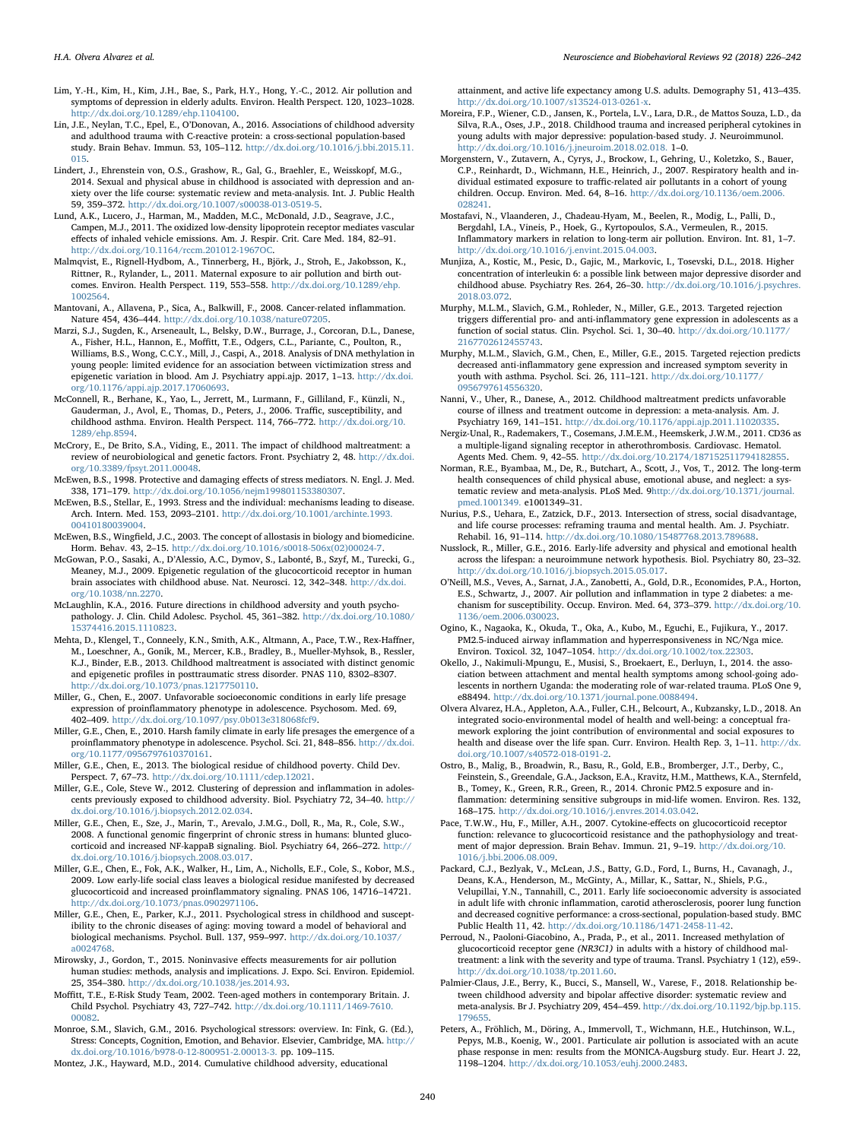- <span id="page-14-12"></span>Lim, Y.-H., Kim, H., Kim, J.H., Bae, S., Park, H.Y., Hong, Y.-C., 2012. Air pollution and symptoms of depression in elderly adults. Environ. Health Perspect. 120, 1023–1028. [http://dx.doi.org/10.1289/ehp.1104100.](http://dx.doi.org/10.1289/ehp.1104100)
- Lin, J.E., Neylan, T.C., Epel, E., O'Donovan, A., 2016. Associations of childhood adversity and adulthood trauma with C-reactive protein: a cross-sectional population-based study. Brain Behav. Immun. 53, 105–112. [http://dx.doi.org/10.1016/j.bbi.2015.11.](http://dx.doi.org/10.1016/j.bbi.2015.11.015) [015](http://dx.doi.org/10.1016/j.bbi.2015.11.015).
- Lindert, J., Ehrenstein von, O.S., Grashow, R., Gal, G., Braehler, E., Weisskopf, M.G., 2014. Sexual and physical abuse in childhood is associated with depression and anxiety over the life course: systematic review and meta-analysis. Int. J. Public Health 59, 359–372. <http://dx.doi.org/10.1007/s00038-013-0519-5>.
- <span id="page-14-9"></span>Lund, A.K., Lucero, J., Harman, M., Madden, M.C., McDonald, J.D., Seagrave, J.C., Campen, M.J., 2011. The oxidized low-density lipoprotein receptor mediates vascular effects of inhaled vehicle emissions. Am. J. Respir. Crit. Care Med. 184, 82–91. [http://dx.doi.org/10.1164/rccm.201012-1967OC.](http://dx.doi.org/10.1164/rccm.201012-1967OC)
- <span id="page-14-2"></span>Malmqvist, E., Rignell-Hydbom, A., Tinnerberg, H., Björk, J., Stroh, E., Jakobsson, K., Rittner, R., Rylander, L., 2011. Maternal exposure to air pollution and birth outcomes. Environ. Health Perspect. 119, 553–558. [http://dx.doi.org/10.1289/ehp.](http://dx.doi.org/10.1289/ehp.1002564) [1002564.](http://dx.doi.org/10.1289/ehp.1002564)
- Mantovani, A., Allavena, P., Sica, A., Balkwill, F., 2008. Cancer-related inflammation. Nature 454, 436–444. <http://dx.doi.org/10.1038/nature07205>.
- Marzi, S.J., Sugden, K., Arseneault, L., Belsky, D.W., Burrage, J., Corcoran, D.L., Danese, A., Fisher, H.L., Hannon, E., Moffitt, T.E., Odgers, C.L., Pariante, C., Poulton, R., Williams, B.S., Wong, C.C.Y., Mill, J., Caspi, A., 2018. Analysis of DNA methylation in young people: limited evidence for an association between victimization stress and epigenetic variation in blood. Am J. Psychiatry appi.ajp. 2017, 1–13. [http://dx.doi.](http://dx.doi.org/10.1176/appi.ajp.2017.17060693) [org/10.1176/appi.ajp.2017.17060693.](http://dx.doi.org/10.1176/appi.ajp.2017.17060693)
- <span id="page-14-10"></span>McConnell, R., Berhane, K., Yao, L., Jerrett, M., Lurmann, F., Gilliland, F., Künzli, N., Gauderman, J., Avol, E., Thomas, D., Peters, J., 2006. Traffic, susceptibility, and childhood asthma. Environ. Health Perspect. 114, 766–772. [http://dx.doi.org/10.](http://dx.doi.org/10.1289/ehp.8594) [1289/ehp.8594.](http://dx.doi.org/10.1289/ehp.8594)
- McCrory, E., De Brito, S.A., Viding, E., 2011. The impact of childhood maltreatment: a review of neurobiological and genetic factors. Front. Psychiatry 2, 48. [http://dx.doi.](http://dx.doi.org/10.3389/fpsyt.2011.00048) [org/10.3389/fpsyt.2011.00048](http://dx.doi.org/10.3389/fpsyt.2011.00048).
- <span id="page-14-17"></span>McEwen, B.S., 1998. Protective and damaging effects of stress mediators. N. Engl. J. Med. 338, 171–179. [http://dx.doi.org/10.1056/nejm199801153380307.](http://dx.doi.org/10.1056/nejm199801153380307)
- <span id="page-14-16"></span>McEwen, B.S., Stellar, E., 1993. Stress and the individual: mechanisms leading to disease. Arch. Intern. Med. 153, 2093–2101. [http://dx.doi.org/10.1001/archinte.1993.](http://dx.doi.org/10.1001/archinte.1993.00410180039004) [00410180039004.](http://dx.doi.org/10.1001/archinte.1993.00410180039004)
- <span id="page-14-18"></span>McEwen, B.S., Wingfield, J.C., 2003. The concept of allostasis in biology and biomedicine. Horm. Behav. 43, 2–15. [http://dx.doi.org/10.1016/s0018-506x\(02\)00024-7](http://dx.doi.org/10.1016/s0018-506x(02)00024-7).
- McGowan, P.O., Sasaki, A., D'Alessio, A.C., Dymov, S., Labonté, B., Szyf, M., Turecki, G., Meaney, M.J., 2009. Epigenetic regulation of the glucocorticoid receptor in human brain associates with childhood abuse. Nat. Neurosci. 12, 342–348. [http://dx.doi.](http://dx.doi.org/10.1038/nn.2270) [org/10.1038/nn.2270.](http://dx.doi.org/10.1038/nn.2270)
- McLaughlin, K.A., 2016. Future directions in childhood adversity and youth psychopathology. J. Clin. Child Adolesc. Psychol. 45, 361–382. [http://dx.doi.org/10.1080/](http://dx.doi.org/10.1080/15374416.2015.1110823) [15374416.2015.1110823](http://dx.doi.org/10.1080/15374416.2015.1110823).
- Mehta, D., Klengel, T., Conneely, K.N., Smith, A.K., Altmann, A., Pace, T.W., Rex-Haffner, M., Loeschner, A., Gonik, M., Mercer, K.B., Bradley, B., Mueller-Myhsok, B., Ressler, K.J., Binder, E.B., 2013. Childhood maltreatment is associated with distinct genomic and epigenetic profiles in posttraumatic stress disorder. PNAS 110, 8302–8307. <http://dx.doi.org/10.1073/pnas.1217750110>.
- <span id="page-14-15"></span>Miller, G., Chen, E., 2007. Unfavorable socioeconomic conditions in early life presage expression of proinflammatory phenotype in adolescence. Psychosom. Med. 69, 402–409. [http://dx.doi.org/10.1097/psy.0b013e318068fcf9.](http://dx.doi.org/10.1097/psy.0b013e318068fcf9)
- Miller, G.E., Chen, E., 2010. Harsh family climate in early life presages the emergence of a proinflammatory phenotype in adolescence. Psychol. Sci. 21, 848–856. [http://dx.doi.](http://dx.doi.org/10.1177/0956797610370161) [org/10.1177/0956797610370161.](http://dx.doi.org/10.1177/0956797610370161)
- <span id="page-14-4"></span>Miller, G.E., Chen, E., 2013. The biological residue of childhood poverty. Child Dev. Perspect. 7, 67–73. [http://dx.doi.org/10.1111/cdep.12021.](http://dx.doi.org/10.1111/cdep.12021)
- Miller, G.E., Cole, Steve W., 2012. Clustering of depression and inflammation in adolescents previously exposed to childhood adversity. Biol. Psychiatry 72, 34–40. [http://](http://dx.doi.org/10.1016/j.biopsych.2012.02.034) [dx.doi.org/10.1016/j.biopsych.2012.02.034](http://dx.doi.org/10.1016/j.biopsych.2012.02.034).
- <span id="page-14-14"></span>Miller, G.E., Chen, E., Sze, J., Marin, T., Arevalo, J.M.G., Doll, R., Ma, R., Cole, S.W., 2008. A functional genomic fingerprint of chronic stress in humans: blunted glucocorticoid and increased NF-kappaB signaling. Biol. Psychiatry 64, 266–272. [http://](http://dx.doi.org/10.1016/j.biopsych.2008.03.017) [dx.doi.org/10.1016/j.biopsych.2008.03.017](http://dx.doi.org/10.1016/j.biopsych.2008.03.017).
- <span id="page-14-11"></span>Miller, G.E., Chen, E., Fok, A.K., Walker, H., Lim, A., Nicholls, E.F., Cole, S., Kobor, M.S., 2009. Low early-life social class leaves a biological residue manifested by decreased glucocorticoid and increased proinflammatory signaling. PNAS 106, 14716–14721. <http://dx.doi.org/10.1073/pnas.0902971106>.
- <span id="page-14-0"></span>Miller, G.E., Chen, E., Parker, K.J., 2011. Psychological stress in childhood and susceptibility to the chronic diseases of aging: moving toward a model of behavioral and biological mechanisms. Psychol. Bull. 137, 959–997. [http://dx.doi.org/10.1037/](http://dx.doi.org/10.1037/a0024768) [a0024768.](http://dx.doi.org/10.1037/a0024768)
- <span id="page-14-21"></span>Mirowsky, J., Gordon, T., 2015. Noninvasive effects measurements for air pollution human studies: methods, analysis and implications. J. Expo. Sci. Environ. Epidemiol. 25, 354–380. [http://dx.doi.org/10.1038/jes.2014.93.](http://dx.doi.org/10.1038/jes.2014.93)
- Moffitt, T.E., E-Risk Study Team, 2002. Teen-aged mothers in contemporary Britain. J. Child Psychol. Psychiatry 43, 727–742. [http://dx.doi.org/10.1111/1469-7610.](http://dx.doi.org/10.1111/1469-7610.00082) [00082.](http://dx.doi.org/10.1111/1469-7610.00082)
- Monroe, S.M., Slavich, G.M., 2016. Psychological stressors: overview. In: Fink, G. (Ed.), Stress: Concepts, Cognition, Emotion, and Behavior. Elsevier, Cambridge, MA. [http://](http://dx.doi.org/10.1016/b978-0-12-800951-2.00013-3) [dx.doi.org/10.1016/b978-0-12-800951-2.00013-3.](http://dx.doi.org/10.1016/b978-0-12-800951-2.00013-3) pp. 109–115.
- Montez, J.K., Hayward, M.D., 2014. Cumulative childhood adversity, educational

attainment, and active life expectancy among U.S. adults. Demography 51, 413–435. <http://dx.doi.org/10.1007/s13524-013-0261-x>.

- Moreira, F.P., Wiener, C.D., Jansen, K., Portela, L.V., Lara, D.R., de Mattos Souza, L.D., da Silva, R.A., Oses, J.P., 2018. Childhood trauma and increased peripheral cytokines in young adults with major depressive: population-based study. J. Neuroimmunol. [http://dx.doi.org/10.1016/j.jneuroim.2018.02.018.](http://dx.doi.org/10.1016/j.jneuroim.2018.02.018) 1–0.
- <span id="page-14-3"></span>Morgenstern, V., Zutavern, A., Cyrys, J., Brockow, I., Gehring, U., Koletzko, S., Bauer, C.P., Reinhardt, D., Wichmann, H.E., Heinrich, J., 2007. Respiratory health and individual estimated exposure to traffic-related air pollutants in a cohort of young children. Occup. Environ. Med. 64, 8–16. [http://dx.doi.org/10.1136/oem.2006.](http://dx.doi.org/10.1136/oem.2006.028241) [028241](http://dx.doi.org/10.1136/oem.2006.028241).
- Mostafavi, N., Vlaanderen, J., Chadeau-Hyam, M., Beelen, R., Modig, L., Palli, D., Bergdahl, I.A., Vineis, P., Hoek, G., Kyrtopoulos, S.A., Vermeulen, R., 2015. Inflammatory markers in relation to long-term air pollution. Environ. Int. 81, 1–7. [http://dx.doi.org/10.1016/j.envint.2015.04.003.](http://dx.doi.org/10.1016/j.envint.2015.04.003)
- Munjiza, A., Kostic, M., Pesic, D., Gajic, M., Markovic, I., Tosevski, D.L., 2018. Higher concentration of interleukin 6: a possible link between major depressive disorder and childhood abuse. Psychiatry Res. 264, 26–30. [http://dx.doi.org/10.1016/j.psychres.](http://dx.doi.org/10.1016/j.psychres.2018.03.072) [2018.03.072](http://dx.doi.org/10.1016/j.psychres.2018.03.072).
- Murphy, M.L.M., Slavich, G.M., Rohleder, N., Miller, G.E., 2013. Targeted rejection triggers differential pro- and anti-inflammatory gene expression in adolescents as a function of social status. Clin. Psychol. Sci. 1, 30–40. [http://dx.doi.org/10.1177/](http://dx.doi.org/10.1177/2167702612455743) [2167702612455743.](http://dx.doi.org/10.1177/2167702612455743)
- Murphy, M.L.M., Slavich, G.M., Chen, E., Miller, G.E., 2015. Targeted rejection predicts decreased anti-inflammatory gene expression and increased symptom severity in youth with asthma. Psychol. Sci. 26, 111–121. [http://dx.doi.org/10.1177/](http://dx.doi.org/10.1177/0956797614556320) [0956797614556320.](http://dx.doi.org/10.1177/0956797614556320)
- Nanni, V., Uher, R., Danese, A., 2012. Childhood maltreatment predicts unfavorable course of illness and treatment outcome in depression: a meta-analysis. Am. J. Psychiatry 169, 141–151. [http://dx.doi.org/10.1176/appi.ajp.2011.11020335.](http://dx.doi.org/10.1176/appi.ajp.2011.11020335)
- <span id="page-14-8"></span>Nergiz-Unal, R., Rademakers, T., Cosemans, J.M.E.M., Heemskerk, J.W.M., 2011. CD36 as a multiple-ligand signaling receptor in atherothrombosis. Cardiovasc. Hematol. Agents Med. Chem. 9, 42–55. [http://dx.doi.org/10.2174/187152511794182855.](http://dx.doi.org/10.2174/187152511794182855)
- Norman, R.E., Byambaa, M., De, R., Butchart, A., Scott, J., Vos, T., 2012. The long-term health consequences of child physical abuse, emotional abuse, and neglect: a systematic review and meta-analysis. PLoS Med. 9[http://dx.doi.org/10.1371/journal.](http://dx.doi.org/10.1371/journal.pmed.1001349) [pmed.1001349.](http://dx.doi.org/10.1371/journal.pmed.1001349) e1001349–31.
- <span id="page-14-1"></span>Nurius, P.S., Uehara, E., Zatzick, D.F., 2013. Intersection of stress, social disadvantage, and life course processes: reframing trauma and mental health. Am. J. Psychiatr. Rehabil. 16, 91–114. <http://dx.doi.org/10.1080/15487768.2013.789688>.
- Nusslock, R., Miller, G.E., 2016. Early-life adversity and physical and emotional health across the lifespan: a neuroimmune network hypothesis. Biol. Psychiatry 80, 23–32. [http://dx.doi.org/10.1016/j.biopsych.2015.05.017.](http://dx.doi.org/10.1016/j.biopsych.2015.05.017)
- <span id="page-14-13"></span>O'Neill, M.S., Veves, A., Sarnat, J.A., Zanobetti, A., Gold, D.R., Economides, P.A., Horton, E.S., Schwartz, J., 2007. Air pollution and inflammation in type 2 diabetes: a mechanism for susceptibility. Occup. Environ. Med. 64, 373–379. [http://dx.doi.org/10.](http://dx.doi.org/10.1136/oem.2006.030023) [1136/oem.2006.030023](http://dx.doi.org/10.1136/oem.2006.030023).
- <span id="page-14-5"></span>Ogino, K., Nagaoka, K., Okuda, T., Oka, A., Kubo, M., Eguchi, E., Fujikura, Y., 2017. PM2.5-induced airway inflammation and hyperresponsiveness in NC/Nga mice. Environ. Toxicol. 32, 1047–1054. [http://dx.doi.org/10.1002/tox.22303.](http://dx.doi.org/10.1002/tox.22303)
- <span id="page-14-20"></span>Okello, J., Nakimuli-Mpungu, E., Musisi, S., Broekaert, E., Derluyn, I., 2014. the association between attachment and mental health symptoms among school-going adolescents in northern Uganda: the moderating role of war-related trauma. PLoS One 9, e88494. <http://dx.doi.org/10.1371/journal.pone.0088494>.
- <span id="page-14-19"></span>Olvera Alvarez, H.A., Appleton, A.A., Fuller, C.H., Belcourt, A., Kubzansky, L.D., 2018. An integrated socio-environmental model of health and well-being: a conceptual framework exploring the joint contribution of environmental and social exposures to health and disease over the life span. Curr. Environ. Health Rep. 3, 1–11. [http://dx.](http://dx.doi.org/10.1007/s40572-018-0191-2) [doi.org/10.1007/s40572-018-0191-2.](http://dx.doi.org/10.1007/s40572-018-0191-2)
- <span id="page-14-6"></span>Ostro, B., Malig, B., Broadwin, R., Basu, R., Gold, E.B., Bromberger, J.T., Derby, C., Feinstein, S., Greendale, G.A., Jackson, E.A., Kravitz, H.M., Matthews, K.A., Sternfeld, B., Tomey, K., Green, R.R., Green, R., 2014. Chronic PM2.5 exposure and inflammation: determining sensitive subgroups in mid-life women. Environ. Res. 132, 168–175. [http://dx.doi.org/10.1016/j.envres.2014.03.042.](http://dx.doi.org/10.1016/j.envres.2014.03.042)
- Pace, T.W.W., Hu, F., Miller, A.H., 2007. Cytokine-effects on glucocorticoid receptor function: relevance to glucocorticoid resistance and the pathophysiology and treatment of major depression. Brain Behav. Immun. 21, 9–19. [http://dx.doi.org/10.](http://dx.doi.org/10.1016/j.bbi.2006.08.009) [1016/j.bbi.2006.08.009](http://dx.doi.org/10.1016/j.bbi.2006.08.009).
- Packard, C.J., Bezlyak, V., McLean, J.S., Batty, G.D., Ford, I., Burns, H., Cavanagh, J., Deans, K.A., Henderson, M., McGinty, A., Millar, K., Sattar, N., Shiels, P.G., Velupillai, Y.N., Tannahill, C., 2011. Early life socioeconomic adversity is associated in adult life with chronic inflammation, carotid atherosclerosis, poorer lung function and decreased cognitive performance: a cross-sectional, population-based study. BMC Public Health 11, 42. [http://dx.doi.org/10.1186/1471-2458-11-42.](http://dx.doi.org/10.1186/1471-2458-11-42)
- Perroud, N., Paoloni-Giacobino, A., Prada, P., et al., 2011. Increased methylation of glucocorticoid receptor gene (NR3C1) in adults with a history of childhood maltreatment: a link with the severity and type of trauma. Transl. Psychiatry 1 (12), e59-. <http://dx.doi.org/10.1038/tp.2011.60>.
- Palmier-Claus, J.E., Berry, K., Bucci, S., Mansell, W., Varese, F., 2018. Relationship between childhood adversity and bipolar affective disorder: systematic review and meta-analysis. Br J. Psychiatry 209, 454–459. [http://dx.doi.org/10.1192/bjp.bp.115.](http://dx.doi.org/10.1192/bjp.bp.115.179655) [179655](http://dx.doi.org/10.1192/bjp.bp.115.179655).
- <span id="page-14-7"></span>Peters, A., Fröhlich, M., Döring, A., Immervoll, T., Wichmann, H.E., Hutchinson, W.L., Pepys, M.B., Koenig, W., 2001. Particulate air pollution is associated with an acute phase response in men: results from the MONICA-Augsburg study. Eur. Heart J. 22, 1198–1204. [http://dx.doi.org/10.1053/euhj.2000.2483.](http://dx.doi.org/10.1053/euhj.2000.2483)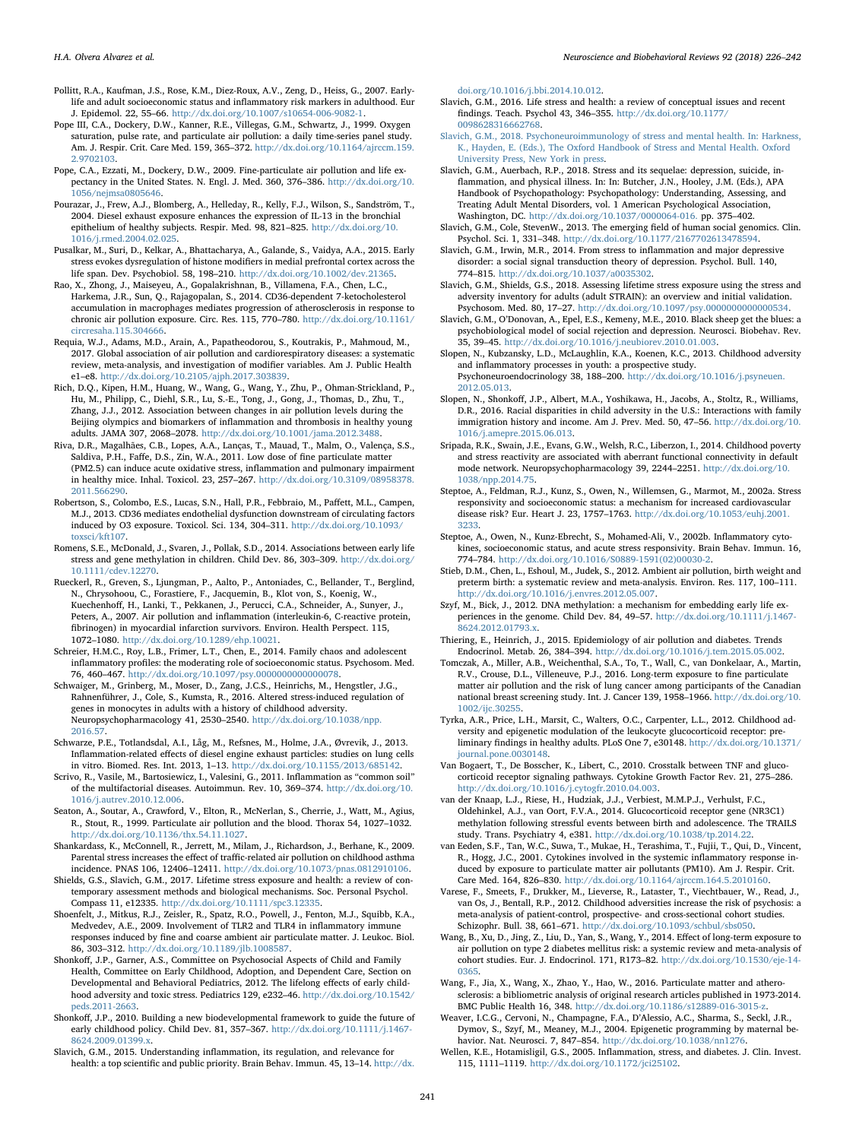- Pollitt, R.A., Kaufman, J.S., Rose, K.M., Diez-Roux, A.V., Zeng, D., Heiss, G., 2007. Earlylife and adult socioeconomic status and inflammatory risk markers in adulthood. Eur J. Epidemol. 22, 55–66. [http://dx.doi.org/10.1007/s10654-006-9082-1.](http://dx.doi.org/10.1007/s10654-006-9082-1)
- <span id="page-15-8"></span>Pope III, C.A., Dockery, D.W., Kanner, R.E., Villegas, G.M., Schwartz, J., 1999. Oxygen saturation, pulse rate, and particulate air pollution: a daily time-series panel study. Am. J. Respir. Crit. Care Med. 159, 365–372. [http://dx.doi.org/10.1164/ajrccm.159.](http://dx.doi.org/10.1164/ajrccm.159.2.9702103) [2.9702103](http://dx.doi.org/10.1164/ajrccm.159.2.9702103).
- <span id="page-15-5"></span>Pope, C.A., Ezzati, M., Dockery, D.W., 2009. Fine-particulate air pollution and life expectancy in the United States. N. Engl. J. Med. 360, 376–386. [http://dx.doi.org/10.](http://dx.doi.org/10.1056/nejmsa0805646) [1056/nejmsa0805646.](http://dx.doi.org/10.1056/nejmsa0805646)
- Pourazar, J., Frew, A.J., Blomberg, A., Helleday, R., Kelly, F.J., Wilson, S., Sandström, T., 2004. Diesel exhaust exposure enhances the expression of IL-13 in the bronchial epithelium of healthy subjects. Respir. Med. 98, 821–825. [http://dx.doi.org/10.](http://dx.doi.org/10.1016/j.rmed.2004.02.025) [1016/j.rmed.2004.02.025.](http://dx.doi.org/10.1016/j.rmed.2004.02.025)
- Pusalkar, M., Suri, D., Kelkar, A., Bhattacharya, A., Galande, S., Vaidya, A.A., 2015. Early stress evokes dysregulation of histone modifiers in medial prefrontal cortex across the life span. Dev. Psychobiol. 58, 198–210. <http://dx.doi.org/10.1002/dev.21365>.
- <span id="page-15-11"></span>Rao, X., Zhong, J., Maiseyeu, A., Gopalakrishnan, B., Villamena, F.A., Chen, L.C., Harkema, J.R., Sun, Q., Rajagopalan, S., 2014. CD36-dependent 7-ketocholesterol accumulation in macrophages mediates progression of atherosclerosis in response to chronic air pollution exposure. Circ. Res. 115, 770–780. [http://dx.doi.org/10.1161/](http://dx.doi.org/10.1161/circresaha.115.304666) [circresaha.115.304666](http://dx.doi.org/10.1161/circresaha.115.304666).
- Requia, W.J., Adams, M.D., Arain, A., Papatheodorou, S., Koutrakis, P., Mahmoud, M., 2017. Global association of air pollution and cardiorespiratory diseases: a systematic review, meta-analysis, and investigation of modifier variables. Am J. Public Health e1–e8. [http://dx.doi.org/10.2105/ajph.2017.303839.](http://dx.doi.org/10.2105/ajph.2017.303839)
- Rich, D.Q., Kipen, H.M., Huang, W., Wang, G., Wang, Y., Zhu, P., Ohman-Strickland, P., Hu, M., Philipp, C., Diehl, S.R., Lu, S.-E., Tong, J., Gong, J., Thomas, D., Zhu, T., Zhang, J.J., 2012. Association between changes in air pollution levels during the Beijing olympics and biomarkers of inflammation and thrombosis in healthy young adults. JAMA 307, 2068–2078. <http://dx.doi.org/10.1001/jama.2012.3488>.
- <span id="page-15-7"></span>Riva, D.R., Magalhães, C.B., Lopes, A.A., Lanças, T., Mauad, T., Malm, O., Valença, S.S., Saldiva, P.H., Faffe, D.S., Zin, W.A., 2011. Low dose of fine particulate matter (PM2.5) can induce acute oxidative stress, inflammation and pulmonary impairment in healthy mice. Inhal. Toxicol. 23, 257–267. [http://dx.doi.org/10.3109/08958378.](http://dx.doi.org/10.3109/08958378.2011.566290) [2011.566290](http://dx.doi.org/10.3109/08958378.2011.566290).
- <span id="page-15-12"></span>Robertson, S., Colombo, E.S., Lucas, S.N., Hall, P.R., Febbraio, M., Paffett, M.L., Campen, M.J., 2013. CD36 mediates endothelial dysfunction downstream of circulating factors induced by O3 exposure. Toxicol. Sci. 134, 304–311. [http://dx.doi.org/10.1093/](http://dx.doi.org/10.1093/toxsci/kft107) [toxsci/kft107](http://dx.doi.org/10.1093/toxsci/kft107).
- Romens, S.E., McDonald, J., Svaren, J., Pollak, S.D., 2014. Associations between early life stress and gene methylation in children. Child Dev. 86, 303–309. [http://dx.doi.org/](http://dx.doi.org/10.1111/cdev.12270) [10.1111/cdev.12270.](http://dx.doi.org/10.1111/cdev.12270)
- Rueckerl, R., Greven, S., Ljungman, P., Aalto, P., Antoniades, C., Bellander, T., Berglind, N., Chrysohoou, C., Forastiere, F., Jacquemin, B., Klot von, S., Koenig, W., Kuechenhoff, H., Lanki, T., Pekkanen, J., Perucci, C.A., Schneider, A., Sunyer, J., Peters, A., 2007. Air pollution and inflammation (interleukin-6, C-reactive protein, fibrinogen) in myocardial infarction survivors. Environ. Health Perspect. 115, 1072–1080. <http://dx.doi.org/10.1289/ehp.10021>.
- Schreier, H.M.C., Roy, L.B., Frimer, L.T., Chen, E., 2014. Family chaos and adolescent inflammatory profiles: the moderating role of socioeconomic status. Psychosom. Med. 76, 460–467. [http://dx.doi.org/10.1097/psy.0000000000000078.](http://dx.doi.org/10.1097/psy.0000000000000078)
- Schwaiger, M., Grinberg, M., Moser, D., Zang, J.C.S., Heinrichs, M., Hengstler, J.G., Rahnenführer, J., Cole, S., Kumsta, R., 2016. Altered stress-induced regulation of genes in monocytes in adults with a history of childhood adversity. Neuropsychopharmacology 41, 2530–2540. [http://dx.doi.org/10.1038/npp.](http://dx.doi.org/10.1038/npp.2016.57) [2016.57.](http://dx.doi.org/10.1038/npp.2016.57)
- <span id="page-15-10"></span>Schwarze, P.E., Totlandsdal, A.I., Låg, M., Refsnes, M., Holme, J.A., Øvrevik, J., 2013. Inflammation-related effects of diesel engine exhaust particles: studies on lung cells in vitro. Biomed. Res. Int. 2013, 1–13. <http://dx.doi.org/10.1155/2013/685142>.
- Scrivo, R., Vasile, M., Bartosiewicz, I., Valesini, G., 2011. Inflammation as "common soil" of the multifactorial diseases. Autoimmun. Rev. 10, 369–374. [http://dx.doi.org/10.](http://dx.doi.org/10.1016/j.autrev.2010.12.006) [1016/j.autrev.2010.12.006](http://dx.doi.org/10.1016/j.autrev.2010.12.006).
- <span id="page-15-9"></span>Seaton, A., Soutar, A., Crawford, V., Elton, R., McNerlan, S., Cherrie, J., Watt, M., Agius, R., Stout, R., 1999. Particulate air pollution and the blood. Thorax 54, 1027–1032. [http://dx.doi.org/10.1136/thx.54.11.1027.](http://dx.doi.org/10.1136/thx.54.11.1027)
- <span id="page-15-14"></span>Shankardass, K., McConnell, R., Jerrett, M., Milam, J., Richardson, J., Berhane, K., 2009. Parental stress increases the effect of traffic-related air pollution on childhood asthma incidence. PNAS 106, 12406–12411. [http://dx.doi.org/10.1073/pnas.0812910106.](http://dx.doi.org/10.1073/pnas.0812910106)
- <span id="page-15-17"></span>Shields, G.S., Slavich, G.M., 2017. Lifetime stress exposure and health: a review of contemporary assessment methods and biological mechanisms. Soc. Personal Psychol. Compass 11, e12335. [http://dx.doi.org/10.1111/spc3.12335.](http://dx.doi.org/10.1111/spc3.12335)
- <span id="page-15-13"></span>Shoenfelt, J., Mitkus, R.J., Zeisler, R., Spatz, R.O., Powell, J., Fenton, M.J., Squibb, K.A., Medvedev, A.E., 2009. Involvement of TLR2 and TLR4 in inflammatory immune responses induced by fine and coarse ambient air particulate matter. J. Leukoc. Biol. 86, 303–312. <http://dx.doi.org/10.1189/jlb.1008587>.
- <span id="page-15-1"></span>Shonkoff, J.P., Garner, A.S., Committee on Psychosocial Aspects of Child and Family Health, Committee on Early Childhood, Adoption, and Dependent Care, Section on Developmental and Behavioral Pediatrics, 2012. The lifelong effects of early childhood adversity and toxic stress. Pediatrics 129, e232–46. [http://dx.doi.org/10.1542/](http://dx.doi.org/10.1542/peds.2011-2663) [peds.2011-2663.](http://dx.doi.org/10.1542/peds.2011-2663)
- Shonkoff, J.P., 2010. Building a new biodevelopmental framework to guide the future of early childhood policy. Child Dev. 81, 357–367. [http://dx.doi.org/10.1111/j.1467-](http://dx.doi.org/10.1111/j.1467-8624.2009.01399.x) 8624.2009.01399.x
- <span id="page-15-20"></span>Slavich, G.M., 2015. Understanding inflammation, its regulation, and relevance for health: a top scientific and public priority. Brain Behav. Immun. 45, 13–14. [http://dx.](http://dx.doi.org/10.1016/j.bbi.2014.10.012)

[doi.org/10.1016/j.bbi.2014.10.012.](http://dx.doi.org/10.1016/j.bbi.2014.10.012)

- <span id="page-15-18"></span>Slavich, G.M., 2016. Life stress and health: a review of conceptual issues and recent findings. Teach. Psychol 43, 346–355. [http://dx.doi.org/10.1177/](http://dx.doi.org/10.1177/0098628316662768) [0098628316662768.](http://dx.doi.org/10.1177/0098628316662768)
- [Slavich, G.M., 2018. Psychoneuroimmunology of stress and mental health. In: Harkness,](http://refhub.elsevier.com/S0149-7634(17)30857-6/sbref0905) [K., Hayden, E. \(Eds.\), The Oxford Handbook of Stress and Mental Health. Oxford](http://refhub.elsevier.com/S0149-7634(17)30857-6/sbref0905) [University Press, New York in press](http://refhub.elsevier.com/S0149-7634(17)30857-6/sbref0905).
- Slavich, G.M., Auerbach, R.P., 2018. Stress and its sequelae: depression, suicide, inflammation, and physical illness. In: In: Butcher, J.N., Hooley, J.M. (Eds.), APA Handbook of Psychopathology: Psychopathology: Understanding, Assessing, and Treating Adult Mental Disorders, vol. 1 American Psychological Association, Washington, DC. [http://dx.doi.org/10.1037/0000064-016.](http://dx.doi.org/10.1037/0000064-016) pp. 375–402.
- Slavich, G.M., Cole, StevenW., 2013. The emerging field of human social genomics. Clin. Psychol. Sci. 1, 331–348. [http://dx.doi.org/10.1177/2167702613478594.](http://dx.doi.org/10.1177/2167702613478594)
- <span id="page-15-2"></span>Slavich, G.M., Irwin, M.R., 2014. From stress to inflammation and major depressive disorder: a social signal transduction theory of depression. Psychol. Bull. 140, 774–815. <http://dx.doi.org/10.1037/a0035302>.
- <span id="page-15-19"></span>Slavich, G.M., Shields, G.S., 2018. Assessing lifetime stress exposure using the stress and adversity inventory for adults (adult STRAIN): an overview and initial validation. Psychosom. Med. 80, 17–27. [http://dx.doi.org/10.1097/psy.0000000000000534.](http://dx.doi.org/10.1097/psy.0000000000000534)
- <span id="page-15-16"></span>Slavich, G.M., O'Donovan, A., Epel, E.S., Kemeny, M.E., 2010. Black sheep get the blues: a psychobiological model of social rejection and depression. Neurosci. Biobehav. Rev. 35, 39–45. [http://dx.doi.org/10.1016/j.neubiorev.2010.01.003.](http://dx.doi.org/10.1016/j.neubiorev.2010.01.003)
- Slopen, N., Kubzansky, L.D., McLaughlin, K.A., Koenen, K.C., 2013. Childhood adversity and inflammatory processes in youth: a prospective study. Psychoneuroendocrinology 38, 188–200. [http://dx.doi.org/10.1016/j.psyneuen.](http://dx.doi.org/10.1016/j.psyneuen.2012.05.013)

[2012.05.013](http://dx.doi.org/10.1016/j.psyneuen.2012.05.013).

- <span id="page-15-0"></span>Slopen, N., Shonkoff, J.P., Albert, M.A., Yoshikawa, H., Jacobs, A., Stoltz, R., Williams, D.R., 2016. Racial disparities in child adversity in the U.S.: Interactions with family immigration history and income. Am J. Prev. Med. 50, 47–56. [http://dx.doi.org/10.](http://dx.doi.org/10.1016/j.amepre.2015.06.013) [1016/j.amepre.2015.06.013](http://dx.doi.org/10.1016/j.amepre.2015.06.013).
- Sripada, R.K., Swain, J.E., Evans, G.W., Welsh, R.C., Liberzon, I., 2014. Childhood poverty and stress reactivity are associated with aberrant functional connectivity in default mode network. Neuropsychopharmacology 39, 2244–2251. [http://dx.doi.org/10.](http://dx.doi.org/10.1038/npp.2014.75) [1038/npp.2014.75.](http://dx.doi.org/10.1038/npp.2014.75)
- Steptoe, A., Feldman, R.J., Kunz, S., Owen, N., Willemsen, G., Marmot, M., 2002a. Stress responsivity and socioeconomic status: a mechanism for increased cardiovascular disease risk? Eur. Heart J. 23, 1757–1763. [http://dx.doi.org/10.1053/euhj.2001.](http://dx.doi.org/10.1053/euhj.2001.3233) [3233.](http://dx.doi.org/10.1053/euhj.2001.3233)
- Steptoe, A., Owen, N., Kunz-Ebrecht, S., Mohamed-Ali, V., 2002b. Inflammatory cytokines, socioeconomic status, and acute stress responsivity. Brain Behav. Immun. 16, 774–784. [http://dx.doi.org/10.1016/S0889-1591\(02\)00030-2.](http://dx.doi.org/10.1016/S0889-1591(02)00030-2)
- Stieb, D.M., Chen, L., Eshoul, M., Judek, S., 2012. Ambient air pollution, birth weight and preterm birth: a systematic review and meta-analysis. Environ. Res. 117, 100–111. <http://dx.doi.org/10.1016/j.envres.2012.05.007>.
- Szyf, M., Bick, J., 2012. DNA methylation: a mechanism for embedding early life experiences in the genome. Child Dev. 84, 49-57. [http://dx.doi.org/10.1111/j.1467-](http://dx.doi.org/10.1111/j.1467-8624.2012.01793.x) [8624.2012.01793.x.](http://dx.doi.org/10.1111/j.1467-8624.2012.01793.x)
- <span id="page-15-3"></span>Thiering, E., Heinrich, J., 2015. Epidemiology of air pollution and diabetes. Trends Endocrinol. Metab. 26, 384–394. <http://dx.doi.org/10.1016/j.tem.2015.05.002>.
- Tomczak, A., Miller, A.B., Weichenthal, S.A., To, T., Wall, C., van Donkelaar, A., Martin, R.V., Crouse, D.L., Villeneuve, P.J., 2016. Long-term exposure to fine particulate matter air pollution and the risk of lung cancer among participants of the Canadian national breast screening study. Int. J. Cancer 139, 1958–1966. [http://dx.doi.org/10.](http://dx.doi.org/10.1002/ijc.30255) [1002/ijc.30255.](http://dx.doi.org/10.1002/ijc.30255)
- Tyrka, A.R., Price, L.H., Marsit, C., Walters, O.C., Carpenter, L.L., 2012. Childhood adversity and epigenetic modulation of the leukocyte glucocorticoid receptor: preliminary findings in healthy adults. PLoS One 7, e30148. [http://dx.doi.org/10.1371/](http://dx.doi.org/10.1371/journal.pone.0030148) [journal.pone.0030148](http://dx.doi.org/10.1371/journal.pone.0030148).
- Van Bogaert, T., De Bosscher, K., Libert, C., 2010. Crosstalk between TNF and glucocorticoid receptor signaling pathways. Cytokine Growth Factor Rev. 21, 275–286. [http://dx.doi.org/10.1016/j.cytogfr.2010.04.003.](http://dx.doi.org/10.1016/j.cytogfr.2010.04.003)
- van der Knaap, L.J., Riese, H., Hudziak, J.J., Verbiest, M.M.P.J., Verhulst, F.C., Oldehinkel, A.J., van Oort, F.V.A., 2014. Glucocorticoid receptor gene (NR3C1) methylation following stressful events between birth and adolescence. The TRAILS study. Trans. Psychiatry 4, e381. [http://dx.doi.org/10.1038/tp.2014.22.](http://dx.doi.org/10.1038/tp.2014.22)
- van Eeden, S.F., Tan, W.C., Suwa, T., Mukae, H., Terashima, T., Fujii, T., Qui, D., Vincent, R., Hogg, J.C., 2001. Cytokines involved in the systemic inflammatory response induced by exposure to particulate matter air pollutants (PM10). Am J. Respir. Crit. Care Med. 164, 826–830. [http://dx.doi.org/10.1164/ajrccm.164.5.2010160.](http://dx.doi.org/10.1164/ajrccm.164.5.2010160)
- Varese, F., Smeets, F., Drukker, M., Lieverse, R., Lataster, T., Viechtbauer, W., Read, J., van Os, J., Bentall, R.P., 2012. Childhood adversities increase the risk of psychosis: a meta-analysis of patient-control, prospective- and cross-sectional cohort studies. Schizophr. Bull. 38, 661–671. <http://dx.doi.org/10.1093/schbul/sbs050>.
- <span id="page-15-6"></span>Wang, B., Xu, D., Jing, Z., Liu, D., Yan, S., Wang, Y., 2014. Effect of long-term exposure to air pollution on type 2 diabetes mellitus risk: a systemic review and meta-analysis of cohort studies. Eur. J. Endocrinol. 171, R173–82. [http://dx.doi.org/10.1530/eje-14-](http://dx.doi.org/10.1530/eje-14-0365) [0365.](http://dx.doi.org/10.1530/eje-14-0365)
- <span id="page-15-4"></span>Wang, F., Jia, X., Wang, X., Zhao, Y., Hao, W., 2016. Particulate matter and atherosclerosis: a bibliometric analysis of original research articles published in 1973-2014. BMC Public Health 16, 348. <http://dx.doi.org/10.1186/s12889-016-3015-z>.
- Weaver, I.C.G., Cervoni, N., Champagne, F.A., D'Alessio, A.C., Sharma, S., Seckl, J.R., Dymov, S., Szyf, M., Meaney, M.J., 2004. Epigenetic programming by maternal behavior. Nat. Neurosci. 7, 847–854. [http://dx.doi.org/10.1038/nn1276.](http://dx.doi.org/10.1038/nn1276)
- <span id="page-15-15"></span>Wellen, K.E., Hotamisligil, G.S., 2005. Inflammation, stress, and diabetes. J. Clin. Invest. 115, 1111–1119. [http://dx.doi.org/10.1172/jci25102.](http://dx.doi.org/10.1172/jci25102)